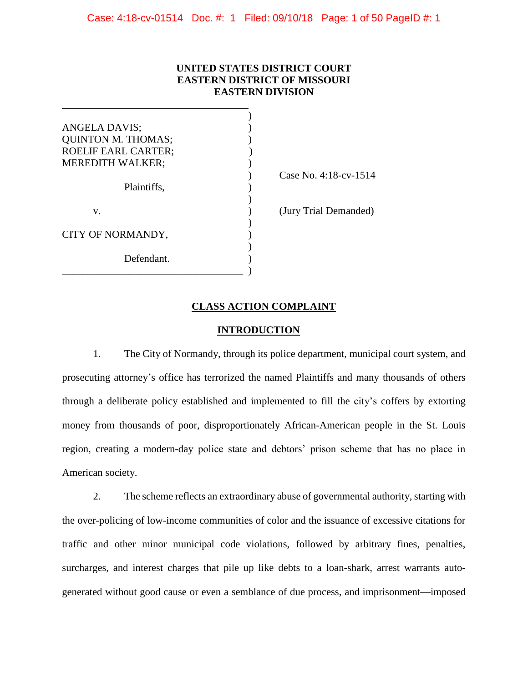# **UNITED STATES DISTRICT COURT EASTERN DISTRICT OF MISSOURI EASTERN DIVISION**

| ANGELA DAVIS;              |                       |
|----------------------------|-----------------------|
| <b>QUINTON M. THOMAS;</b>  |                       |
| <b>ROELIF EARL CARTER;</b> |                       |
| <b>MEREDITH WALKER;</b>    |                       |
|                            | Case No. 4:18-cv-1514 |
| Plaintiffs,                |                       |
|                            |                       |
| V.                         | (Jury Trial Demanded) |
|                            |                       |
| CITY OF NORMANDY,          |                       |
|                            |                       |
| Defendant.                 |                       |
|                            |                       |

# **CLASS ACTION COMPLAINT**

#### **INTRODUCTION**

1. The City of Normandy, through its police department, municipal court system, and prosecuting attorney's office has terrorized the named Plaintiffs and many thousands of others through a deliberate policy established and implemented to fill the city's coffers by extorting money from thousands of poor, disproportionately African-American people in the St. Louis region, creating a modern-day police state and debtors' prison scheme that has no place in American society.

2. The scheme reflects an extraordinary abuse of governmental authority, starting with the over-policing of low-income communities of color and the issuance of excessive citations for traffic and other minor municipal code violations, followed by arbitrary fines, penalties, surcharges, and interest charges that pile up like debts to a loan-shark, arrest warrants autogenerated without good cause or even a semblance of due process, and imprisonment—imposed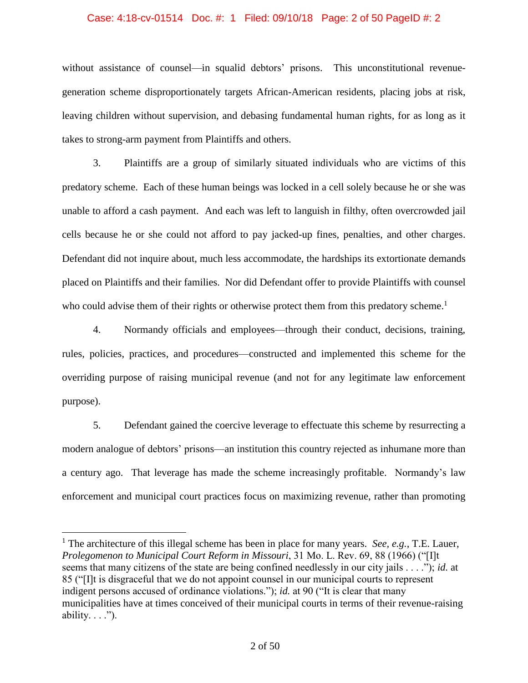### Case: 4:18-cv-01514 Doc. #: 1 Filed: 09/10/18 Page: 2 of 50 PageID #: 2

without assistance of counsel—in squalid debtors' prisons. This unconstitutional revenuegeneration scheme disproportionately targets African-American residents, placing jobs at risk, leaving children without supervision, and debasing fundamental human rights, for as long as it takes to strong-arm payment from Plaintiffs and others.

3. Plaintiffs are a group of similarly situated individuals who are victims of this predatory scheme. Each of these human beings was locked in a cell solely because he or she was unable to afford a cash payment. And each was left to languish in filthy, often overcrowded jail cells because he or she could not afford to pay jacked-up fines, penalties, and other charges. Defendant did not inquire about, much less accommodate, the hardships its extortionate demands placed on Plaintiffs and their families. Nor did Defendant offer to provide Plaintiffs with counsel who could advise them of their rights or otherwise protect them from this predatory scheme.<sup>1</sup>

4. Normandy officials and employees—through their conduct, decisions, training, rules, policies, practices, and procedures—constructed and implemented this scheme for the overriding purpose of raising municipal revenue (and not for any legitimate law enforcement purpose).

5. Defendant gained the coercive leverage to effectuate this scheme by resurrecting a modern analogue of debtors' prisons—an institution this country rejected as inhumane more than a century ago. That leverage has made the scheme increasingly profitable. Normandy's law enforcement and municipal court practices focus on maximizing revenue, rather than promoting

<sup>1</sup> The architecture of this illegal scheme has been in place for many years. *See, e.g.*, T.E. Lauer, *Prolegomenon to Municipal Court Reform in Missouri*, 31 Mo. L. Rev. 69, 88 (1966) ("[I]t seems that many citizens of the state are being confined needlessly in our city jails . . . ."); *id.* at 85 ("[I]t is disgraceful that we do not appoint counsel in our municipal courts to represent indigent persons accused of ordinance violations."); *id.* at 90 ("It is clear that many municipalities have at times conceived of their municipal courts in terms of their revenue-raising ability.  $\ldots$ ").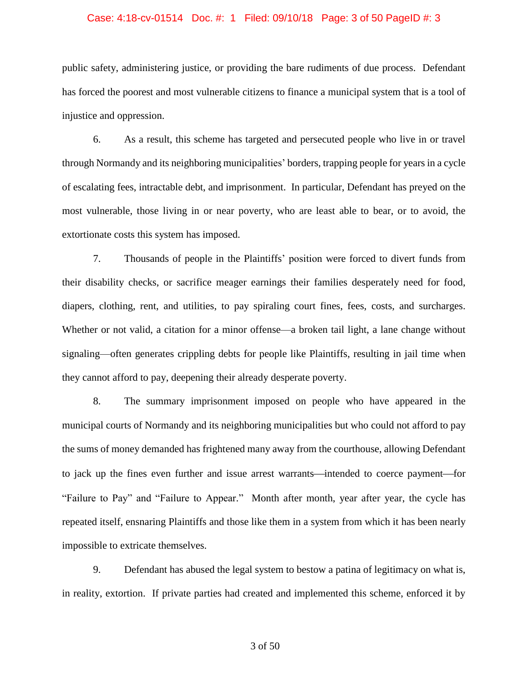### Case: 4:18-cv-01514 Doc. #: 1 Filed: 09/10/18 Page: 3 of 50 PageID #: 3

public safety, administering justice, or providing the bare rudiments of due process. Defendant has forced the poorest and most vulnerable citizens to finance a municipal system that is a tool of injustice and oppression.

6. As a result, this scheme has targeted and persecuted people who live in or travel through Normandy and its neighboring municipalities' borders, trapping people for years in a cycle of escalating fees, intractable debt, and imprisonment. In particular, Defendant has preyed on the most vulnerable, those living in or near poverty, who are least able to bear, or to avoid, the extortionate costs this system has imposed.

7. Thousands of people in the Plaintiffs' position were forced to divert funds from their disability checks, or sacrifice meager earnings their families desperately need for food, diapers, clothing, rent, and utilities, to pay spiraling court fines, fees, costs, and surcharges. Whether or not valid, a citation for a minor offense—a broken tail light, a lane change without signaling—often generates crippling debts for people like Plaintiffs, resulting in jail time when they cannot afford to pay, deepening their already desperate poverty.

8. The summary imprisonment imposed on people who have appeared in the municipal courts of Normandy and its neighboring municipalities but who could not afford to pay the sums of money demanded has frightened many away from the courthouse, allowing Defendant to jack up the fines even further and issue arrest warrants—intended to coerce payment—for "Failure to Pay" and "Failure to Appear." Month after month, year after year, the cycle has repeated itself, ensnaring Plaintiffs and those like them in a system from which it has been nearly impossible to extricate themselves.

9. Defendant has abused the legal system to bestow a patina of legitimacy on what is, in reality, extortion. If private parties had created and implemented this scheme, enforced it by

3 of 50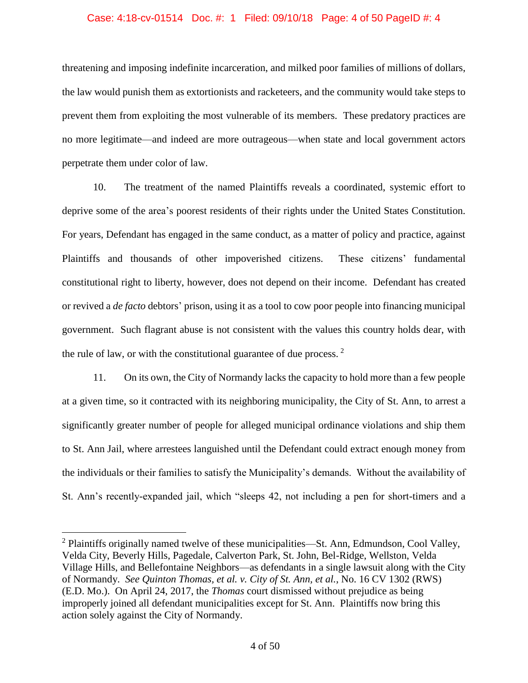### Case: 4:18-cv-01514 Doc. #: 1 Filed: 09/10/18 Page: 4 of 50 PageID #: 4

threatening and imposing indefinite incarceration, and milked poor families of millions of dollars, the law would punish them as extortionists and racketeers, and the community would take steps to prevent them from exploiting the most vulnerable of its members. These predatory practices are no more legitimate—and indeed are more outrageous—when state and local government actors perpetrate them under color of law.

10. The treatment of the named Plaintiffs reveals a coordinated, systemic effort to deprive some of the area's poorest residents of their rights under the United States Constitution. For years, Defendant has engaged in the same conduct, as a matter of policy and practice, against Plaintiffs and thousands of other impoverished citizens. These citizens' fundamental constitutional right to liberty, however, does not depend on their income. Defendant has created or revived a *de facto* debtors' prison, using it as a tool to cow poor people into financing municipal government. Such flagrant abuse is not consistent with the values this country holds dear, with the rule of law, or with the constitutional guarantee of due process.  $2$ 

11. On its own, the City of Normandy lacks the capacity to hold more than a few people at a given time, so it contracted with its neighboring municipality, the City of St. Ann, to arrest a significantly greater number of people for alleged municipal ordinance violations and ship them to St. Ann Jail, where arrestees languished until the Defendant could extract enough money from the individuals or their families to satisfy the Municipality's demands. Without the availability of St. Ann's recently-expanded jail, which "sleeps 42, not including a pen for short-timers and a

 $2$  Plaintiffs originally named twelve of these municipalities—St. Ann, Edmundson, Cool Valley, Velda City, Beverly Hills, Pagedale, Calverton Park, St. John, Bel-Ridge, Wellston, Velda Village Hills, and Bellefontaine Neighbors—as defendants in a single lawsuit along with the City of Normandy. *See Quinton Thomas, et al. v. City of St. Ann, et al.*, No. 16 CV 1302 (RWS) (E.D. Mo.). On April 24, 2017, the *Thomas* court dismissed without prejudice as being improperly joined all defendant municipalities except for St. Ann. Plaintiffs now bring this action solely against the City of Normandy.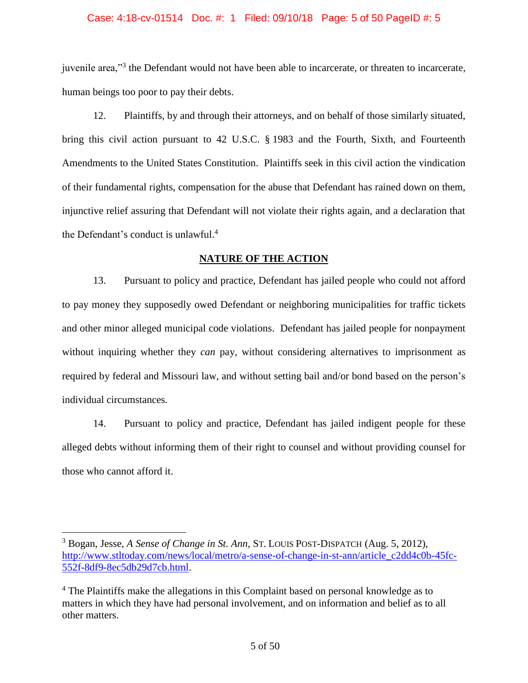#### Case: 4:18-cv-01514 Doc. #: 1 Filed: 09/10/18 Page: 5 of 50 PageID #: 5

juvenile area,"<sup>3</sup> the Defendant would not have been able to incarcerate, or threaten to incarcerate, human beings too poor to pay their debts.

12. Plaintiffs, by and through their attorneys, and on behalf of those similarly situated, bring this civil action pursuant to 42 U.S.C. § 1983 and the Fourth, Sixth, and Fourteenth Amendments to the United States Constitution. Plaintiffs seek in this civil action the vindication of their fundamental rights, compensation for the abuse that Defendant has rained down on them, injunctive relief assuring that Defendant will not violate their rights again, and a declaration that the Defendant's conduct is unlawful. 4

# **NATURE OF THE ACTION**

13. Pursuant to policy and practice, Defendant has jailed people who could not afford to pay money they supposedly owed Defendant or neighboring municipalities for traffic tickets and other minor alleged municipal code violations. Defendant has jailed people for nonpayment without inquiring whether they *can* pay, without considering alternatives to imprisonment as required by federal and Missouri law, and without setting bail and/or bond based on the person's individual circumstances.

14. Pursuant to policy and practice, Defendant has jailed indigent people for these alleged debts without informing them of their right to counsel and without providing counsel for those who cannot afford it.

<sup>3</sup> Bogan, Jesse, *A Sense of Change in St. Ann*, ST. LOUIS POST-DISPATCH (Aug. 5, 2012), [http://www.stltoday.com/news/local/metro/a-sense-of-change-in-st-ann/article\\_c2dd4c0b-45fc-](http://www.stltoday.com/news/local/metro/a-sense-of-change-in-st-ann/article_c2dd4c0b-45fc-552f-8df9-8ec5db29d7cb.html)[552f-8df9-8ec5db29d7cb.html.](http://www.stltoday.com/news/local/metro/a-sense-of-change-in-st-ann/article_c2dd4c0b-45fc-552f-8df9-8ec5db29d7cb.html)

<sup>&</sup>lt;sup>4</sup> The Plaintiffs make the allegations in this Complaint based on personal knowledge as to matters in which they have had personal involvement, and on information and belief as to all other matters.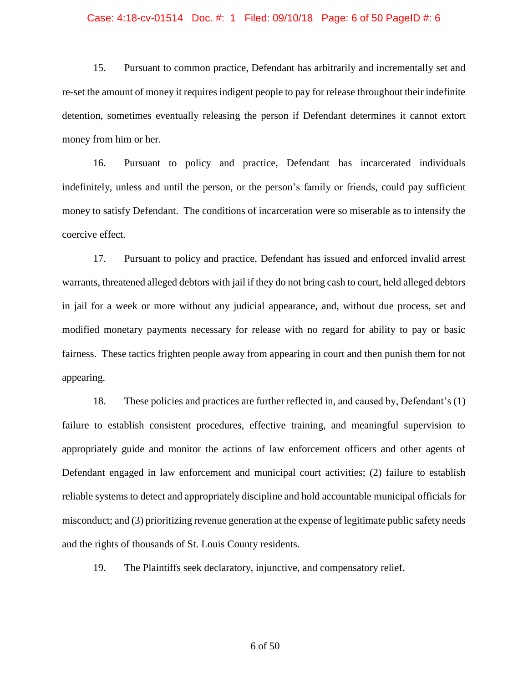### Case: 4:18-cv-01514 Doc. #: 1 Filed: 09/10/18 Page: 6 of 50 PageID #: 6

15. Pursuant to common practice, Defendant has arbitrarily and incrementally set and re-set the amount of money it requires indigent people to pay for release throughout their indefinite detention, sometimes eventually releasing the person if Defendant determines it cannot extort money from him or her.

16. Pursuant to policy and practice, Defendant has incarcerated individuals indefinitely, unless and until the person, or the person's family or friends, could pay sufficient money to satisfy Defendant. The conditions of incarceration were so miserable as to intensify the coercive effect.

17. Pursuant to policy and practice, Defendant has issued and enforced invalid arrest warrants, threatened alleged debtors with jail if they do not bring cash to court, held alleged debtors in jail for a week or more without any judicial appearance, and, without due process, set and modified monetary payments necessary for release with no regard for ability to pay or basic fairness. These tactics frighten people away from appearing in court and then punish them for not appearing.

18. These policies and practices are further reflected in, and caused by, Defendant's (1) failure to establish consistent procedures, effective training, and meaningful supervision to appropriately guide and monitor the actions of law enforcement officers and other agents of Defendant engaged in law enforcement and municipal court activities; (2) failure to establish reliable systems to detect and appropriately discipline and hold accountable municipal officials for misconduct; and (3) prioritizing revenue generation at the expense of legitimate public safety needs and the rights of thousands of St. Louis County residents.

19. The Plaintiffs seek declaratory, injunctive, and compensatory relief.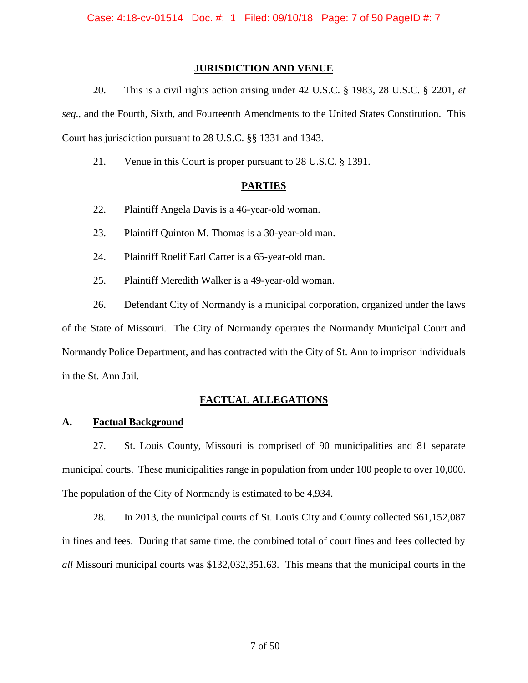## **JURISDICTION AND VENUE**

20. This is a civil rights action arising under 42 U.S.C. § 1983, 28 U.S.C. § 2201, *et seq*., and the Fourth, Sixth, and Fourteenth Amendments to the United States Constitution. This Court has jurisdiction pursuant to 28 U.S.C. §§ 1331 and 1343.

21. Venue in this Court is proper pursuant to 28 U.S.C. § 1391.

# **PARTIES**

- 22. Plaintiff Angela Davis is a 46-year-old woman.
- 23. Plaintiff Quinton M. Thomas is a 30-year-old man.
- 24. Plaintiff Roelif Earl Carter is a 65-year-old man.
- 25. Plaintiff Meredith Walker is a 49-year-old woman.

26. Defendant City of Normandy is a municipal corporation, organized under the laws of the State of Missouri. The City of Normandy operates the Normandy Municipal Court and Normandy Police Department, and has contracted with the City of St. Ann to imprison individuals in the St. Ann Jail.

# **FACTUAL ALLEGATIONS**

# **A. Factual Background**

27. St. Louis County, Missouri is comprised of 90 municipalities and 81 separate municipal courts. These municipalities range in population from under 100 people to over 10,000. The population of the City of Normandy is estimated to be 4,934.

28. In 2013, the municipal courts of St. Louis City and County collected \$61,152,087 in fines and fees. During that same time, the combined total of court fines and fees collected by *all* Missouri municipal courts was \$132,032,351.63. This means that the municipal courts in the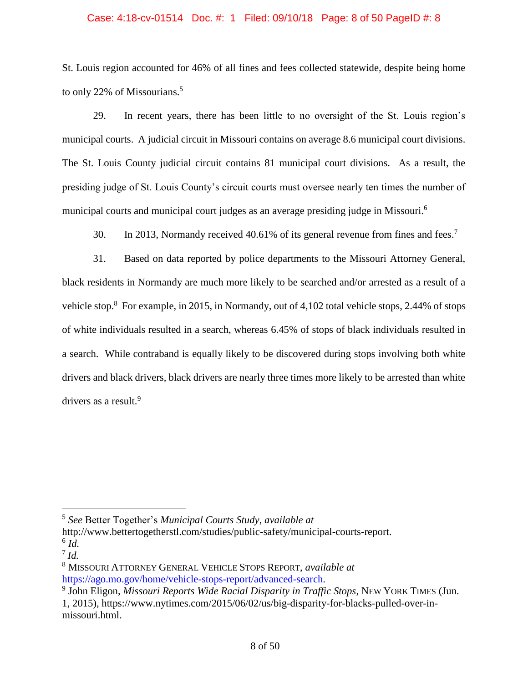### Case: 4:18-cv-01514 Doc. #: 1 Filed: 09/10/18 Page: 8 of 50 PageID #: 8

St. Louis region accounted for 46% of all fines and fees collected statewide, despite being home to only 22% of Missourians.<sup>5</sup>

29. In recent years, there has been little to no oversight of the St. Louis region's municipal courts. A judicial circuit in Missouri contains on average 8.6 municipal court divisions. The St. Louis County judicial circuit contains 81 municipal court divisions. As a result, the presiding judge of St. Louis County's circuit courts must oversee nearly ten times the number of municipal courts and municipal court judges as an average presiding judge in Missouri.<sup>6</sup>

30. In 2013, Normandy received 40.61% of its general revenue from fines and fees. 7

31. Based on data reported by police departments to the Missouri Attorney General, black residents in Normandy are much more likely to be searched and/or arrested as a result of a vehicle stop.<sup>8</sup> For example, in 2015, in Normandy, out of 4,102 total vehicle stops, 2.44% of stops of white individuals resulted in a search, whereas 6.45% of stops of black individuals resulted in a search. While contraband is equally likely to be discovered during stops involving both white drivers and black drivers, black drivers are nearly three times more likely to be arrested than white drivers as a result.<sup>9</sup>

http://www.bettertogetherstl.com/studies/public-safety/municipal-courts-report. 6 *Id.*

<sup>5</sup> *See* Better Together's *Municipal Courts Study*, *available at*

<sup>7</sup> *Id.*

<sup>8</sup> MISSOURI ATTORNEY GENERAL VEHICLE STOPS REPORT, *available at*  [https://ago.mo.gov/home/vehicle-stops-report/advanced-search.](https://ago.mo.gov/home/vehicle-stops-report/advanced-search)

<sup>9</sup> John Eligon, *Missouri Reports Wide Racial Disparity in Traffic Stops*, NEW YORK TIMES (Jun. 1, 2015), https://www.nytimes.com/2015/06/02/us/big-disparity-for-blacks-pulled-over-inmissouri.html.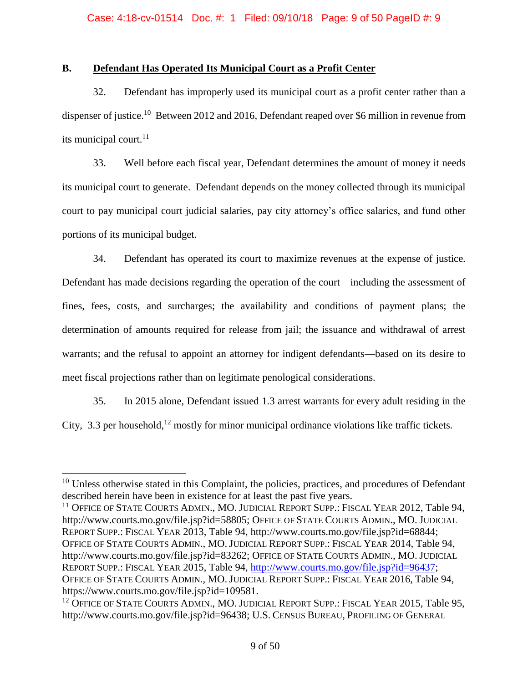# **B. Defendant Has Operated Its Municipal Court as a Profit Center**

32. Defendant has improperly used its municipal court as a profit center rather than a dispenser of justice.<sup>10</sup> Between 2012 and 2016, Defendant reaped over \$6 million in revenue from its municipal court. 11

33. Well before each fiscal year, Defendant determines the amount of money it needs its municipal court to generate. Defendant depends on the money collected through its municipal court to pay municipal court judicial salaries, pay city attorney's office salaries, and fund other portions of its municipal budget.

34. Defendant has operated its court to maximize revenues at the expense of justice. Defendant has made decisions regarding the operation of the court—including the assessment of fines, fees, costs, and surcharges; the availability and conditions of payment plans; the determination of amounts required for release from jail; the issuance and withdrawal of arrest warrants; and the refusal to appoint an attorney for indigent defendants—based on its desire to meet fiscal projections rather than on legitimate penological considerations.

35. In 2015 alone, Defendant issued 1.3 arrest warrants for every adult residing in the City, 3.3 per household,<sup>12</sup> mostly for minor municipal ordinance violations like traffic tickets.

 $10$  Unless otherwise stated in this Complaint, the policies, practices, and procedures of Defendant described herein have been in existence for at least the past five years.

<sup>&</sup>lt;sup>11</sup> OFFICE OF STATE COURTS ADMIN., MO. JUDICIAL REPORT SUPP.: FISCAL YEAR 2012, Table 94, http://www.courts.mo.gov/file.jsp?id=58805; OFFICE OF STATE COURTS ADMIN., MO. JUDICIAL REPORT SUPP.: FISCAL YEAR 2013, Table 94, http://www.courts.mo.gov/file.jsp?id=68844; OFFICE OF STATE COURTS ADMIN., MO. JUDICIAL REPORT SUPP.: FISCAL YEAR 2014, Table 94, http://www.courts.mo.gov/file.jsp?id=83262; OFFICE OF STATE COURTS ADMIN., MO. JUDICIAL REPORT SUPP.: FISCAL YEAR 2015, Table 94, [http://www.courts.mo.gov/file.jsp?id=96437;](http://www.courts.mo.gov/file.jsp?id=96437) OFFICE OF STATE COURTS ADMIN., MO. JUDICIAL REPORT SUPP.: FISCAL YEAR 2016, Table 94, https://www.courts.mo.gov/file.jsp?id=109581.

<sup>&</sup>lt;sup>12</sup> OFFICE OF STATE COURTS ADMIN., MO. JUDICIAL REPORT SUPP.: FISCAL YEAR 2015, Table 95, http://www.courts.mo.gov/file.jsp?id=96438; U.S. CENSUS BUREAU, PROFILING OF GENERAL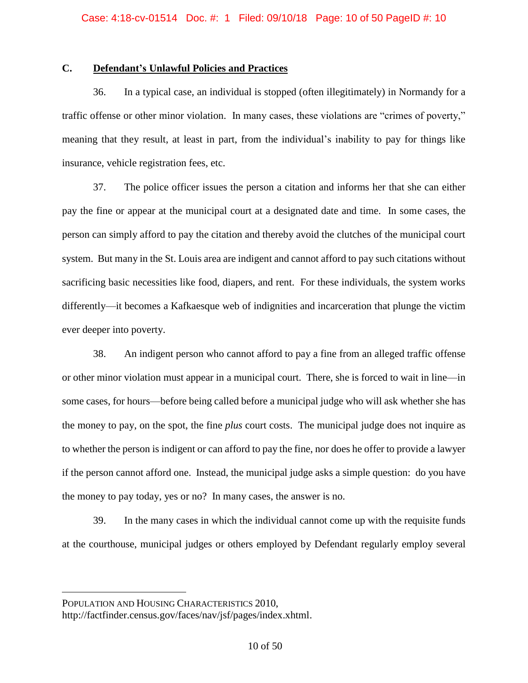# **C. Defendant's Unlawful Policies and Practices**

36. In a typical case, an individual is stopped (often illegitimately) in Normandy for a traffic offense or other minor violation. In many cases, these violations are "crimes of poverty," meaning that they result, at least in part, from the individual's inability to pay for things like insurance, vehicle registration fees, etc.

37. The police officer issues the person a citation and informs her that she can either pay the fine or appear at the municipal court at a designated date and time. In some cases, the person can simply afford to pay the citation and thereby avoid the clutches of the municipal court system. But many in the St. Louis area are indigent and cannot afford to pay such citations without sacrificing basic necessities like food, diapers, and rent. For these individuals, the system works differently—it becomes a Kafkaesque web of indignities and incarceration that plunge the victim ever deeper into poverty.

38. An indigent person who cannot afford to pay a fine from an alleged traffic offense or other minor violation must appear in a municipal court. There, she is forced to wait in line—in some cases, for hours—before being called before a municipal judge who will ask whether she has the money to pay, on the spot, the fine *plus* court costs. The municipal judge does not inquire as to whether the person is indigent or can afford to pay the fine, nor does he offer to provide a lawyer if the person cannot afford one. Instead, the municipal judge asks a simple question: do you have the money to pay today, yes or no? In many cases, the answer is no.

39. In the many cases in which the individual cannot come up with the requisite funds at the courthouse, municipal judges or others employed by Defendant regularly employ several

POPULATION AND HOUSING CHARACTERISTICS 2010,

http://factfinder.census.gov/faces/nav/jsf/pages/index.xhtml.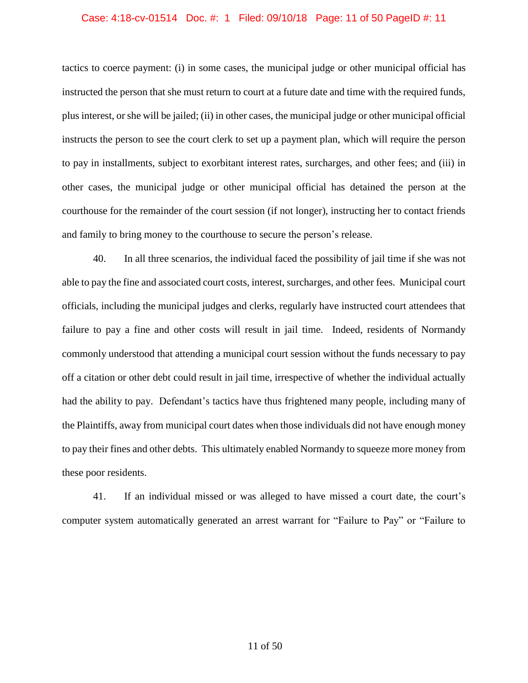#### Case: 4:18-cv-01514 Doc. #: 1 Filed: 09/10/18 Page: 11 of 50 PageID #: 11

tactics to coerce payment: (i) in some cases, the municipal judge or other municipal official has instructed the person that she must return to court at a future date and time with the required funds, plus interest, or she will be jailed; (ii) in other cases, the municipal judge or other municipal official instructs the person to see the court clerk to set up a payment plan, which will require the person to pay in installments, subject to exorbitant interest rates, surcharges, and other fees; and (iii) in other cases, the municipal judge or other municipal official has detained the person at the courthouse for the remainder of the court session (if not longer), instructing her to contact friends and family to bring money to the courthouse to secure the person's release.

40. In all three scenarios, the individual faced the possibility of jail time if she was not able to pay the fine and associated court costs, interest, surcharges, and other fees. Municipal court officials, including the municipal judges and clerks, regularly have instructed court attendees that failure to pay a fine and other costs will result in jail time. Indeed, residents of Normandy commonly understood that attending a municipal court session without the funds necessary to pay off a citation or other debt could result in jail time, irrespective of whether the individual actually had the ability to pay. Defendant's tactics have thus frightened many people, including many of the Plaintiffs, away from municipal court dates when those individuals did not have enough money to pay their fines and other debts. This ultimately enabled Normandy to squeeze more money from these poor residents.

41. If an individual missed or was alleged to have missed a court date, the court's computer system automatically generated an arrest warrant for "Failure to Pay" or "Failure to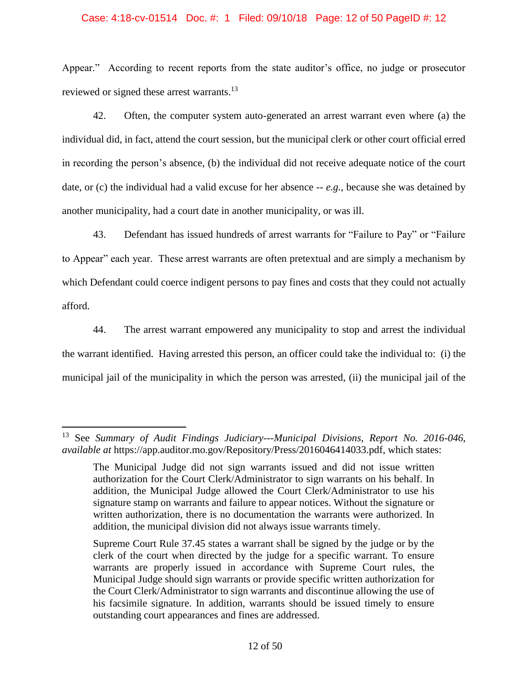### Case: 4:18-cv-01514 Doc. #: 1 Filed: 09/10/18 Page: 12 of 50 PageID #: 12

Appear." According to recent reports from the state auditor's office, no judge or prosecutor reviewed or signed these arrest warrants.<sup>13</sup>

42. Often, the computer system auto-generated an arrest warrant even where (a) the individual did, in fact, attend the court session, but the municipal clerk or other court official erred in recording the person's absence, (b) the individual did not receive adequate notice of the court date, or (c) the individual had a valid excuse for her absence -- *e.g.*, because she was detained by another municipality, had a court date in another municipality, or was ill.

43. Defendant has issued hundreds of arrest warrants for "Failure to Pay" or "Failure to Appear" each year. These arrest warrants are often pretextual and are simply a mechanism by which Defendant could coerce indigent persons to pay fines and costs that they could not actually afford.

44. The arrest warrant empowered any municipality to stop and arrest the individual the warrant identified. Having arrested this person, an officer could take the individual to: (i) the municipal jail of the municipality in which the person was arrested, (ii) the municipal jail of the

<sup>13</sup> See *Summary of Audit Findings Judiciary---Municipal Divisions, Report No. 2016-046*, *available at* https://app.auditor.mo.gov/Repository/Press/2016046414033.pdf, which states:

The Municipal Judge did not sign warrants issued and did not issue written authorization for the Court Clerk/Administrator to sign warrants on his behalf. In addition, the Municipal Judge allowed the Court Clerk/Administrator to use his signature stamp on warrants and failure to appear notices. Without the signature or written authorization, there is no documentation the warrants were authorized. In addition, the municipal division did not always issue warrants timely.

Supreme Court Rule 37.45 states a warrant shall be signed by the judge or by the clerk of the court when directed by the judge for a specific warrant. To ensure warrants are properly issued in accordance with Supreme Court rules, the Municipal Judge should sign warrants or provide specific written authorization for the Court Clerk/Administrator to sign warrants and discontinue allowing the use of his facsimile signature. In addition, warrants should be issued timely to ensure outstanding court appearances and fines are addressed.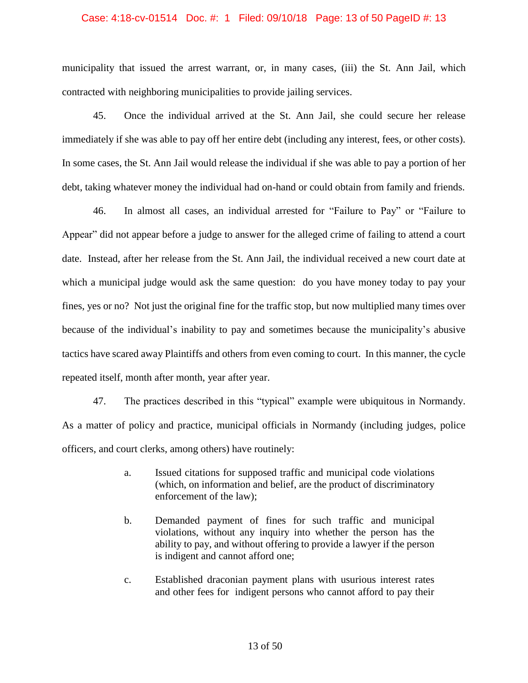#### Case: 4:18-cv-01514 Doc. #: 1 Filed: 09/10/18 Page: 13 of 50 PageID #: 13

municipality that issued the arrest warrant, or, in many cases, (iii) the St. Ann Jail, which contracted with neighboring municipalities to provide jailing services.

45. Once the individual arrived at the St. Ann Jail, she could secure her release immediately if she was able to pay off her entire debt (including any interest, fees, or other costs). In some cases, the St. Ann Jail would release the individual if she was able to pay a portion of her debt, taking whatever money the individual had on-hand or could obtain from family and friends.

46. In almost all cases, an individual arrested for "Failure to Pay" or "Failure to Appear" did not appear before a judge to answer for the alleged crime of failing to attend a court date. Instead, after her release from the St. Ann Jail, the individual received a new court date at which a municipal judge would ask the same question: do you have money today to pay your fines, yes or no? Not just the original fine for the traffic stop, but now multiplied many times over because of the individual's inability to pay and sometimes because the municipality's abusive tactics have scared away Plaintiffs and others from even coming to court. In this manner, the cycle repeated itself, month after month, year after year.

47. The practices described in this "typical" example were ubiquitous in Normandy. As a matter of policy and practice, municipal officials in Normandy (including judges, police officers, and court clerks, among others) have routinely:

- a. Issued citations for supposed traffic and municipal code violations (which, on information and belief, are the product of discriminatory enforcement of the law);
- b. Demanded payment of fines for such traffic and municipal violations, without any inquiry into whether the person has the ability to pay, and without offering to provide a lawyer if the person is indigent and cannot afford one;
- c. Established draconian payment plans with usurious interest rates and other fees for indigent persons who cannot afford to pay their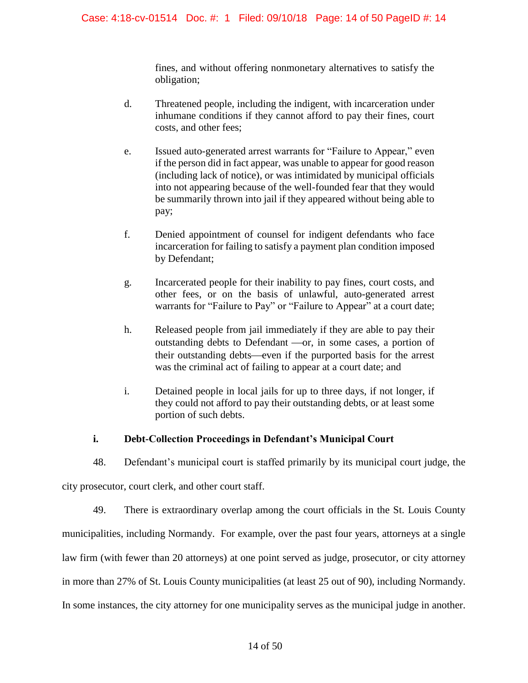fines, and without offering nonmonetary alternatives to satisfy the obligation;

- d. Threatened people, including the indigent, with incarceration under inhumane conditions if they cannot afford to pay their fines, court costs, and other fees;
- e. Issued auto-generated arrest warrants for "Failure to Appear," even if the person did in fact appear, was unable to appear for good reason (including lack of notice), or was intimidated by municipal officials into not appearing because of the well-founded fear that they would be summarily thrown into jail if they appeared without being able to pay;
- f. Denied appointment of counsel for indigent defendants who face incarceration for failing to satisfy a payment plan condition imposed by Defendant;
- g. Incarcerated people for their inability to pay fines, court costs, and other fees, or on the basis of unlawful, auto-generated arrest warrants for "Failure to Pay" or "Failure to Appear" at a court date;
- h. Released people from jail immediately if they are able to pay their outstanding debts to Defendant —or, in some cases, a portion of their outstanding debts—even if the purported basis for the arrest was the criminal act of failing to appear at a court date; and
- i. Detained people in local jails for up to three days, if not longer, if they could not afford to pay their outstanding debts, or at least some portion of such debts.

# **i. Debt-Collection Proceedings in Defendant's Municipal Court**

48. Defendant's municipal court is staffed primarily by its municipal court judge, the

city prosecutor, court clerk, and other court staff.

49. There is extraordinary overlap among the court officials in the St. Louis County municipalities, including Normandy. For example, over the past four years, attorneys at a single law firm (with fewer than 20 attorneys) at one point served as judge, prosecutor, or city attorney in more than 27% of St. Louis County municipalities (at least 25 out of 90), including Normandy. In some instances, the city attorney for one municipality serves as the municipal judge in another.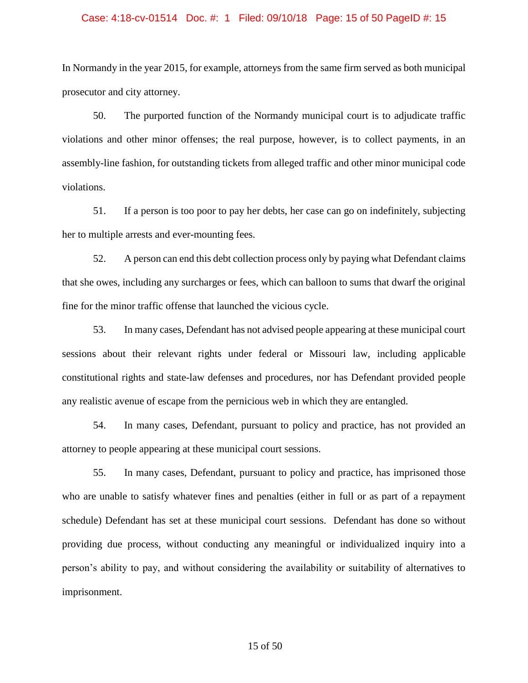# Case: 4:18-cv-01514 Doc. #: 1 Filed: 09/10/18 Page: 15 of 50 PageID #: 15

In Normandy in the year 2015, for example, attorneys from the same firm served as both municipal prosecutor and city attorney.

50. The purported function of the Normandy municipal court is to adjudicate traffic violations and other minor offenses; the real purpose, however, is to collect payments, in an assembly-line fashion, for outstanding tickets from alleged traffic and other minor municipal code violations.

51. If a person is too poor to pay her debts, her case can go on indefinitely, subjecting her to multiple arrests and ever-mounting fees.

52. A person can end this debt collection process only by paying what Defendant claims that she owes, including any surcharges or fees, which can balloon to sums that dwarf the original fine for the minor traffic offense that launched the vicious cycle.

53. In many cases, Defendant has not advised people appearing at these municipal court sessions about their relevant rights under federal or Missouri law, including applicable constitutional rights and state-law defenses and procedures, nor has Defendant provided people any realistic avenue of escape from the pernicious web in which they are entangled.

54. In many cases, Defendant, pursuant to policy and practice, has not provided an attorney to people appearing at these municipal court sessions.

55. In many cases, Defendant, pursuant to policy and practice, has imprisoned those who are unable to satisfy whatever fines and penalties (either in full or as part of a repayment schedule) Defendant has set at these municipal court sessions. Defendant has done so without providing due process, without conducting any meaningful or individualized inquiry into a person's ability to pay, and without considering the availability or suitability of alternatives to imprisonment.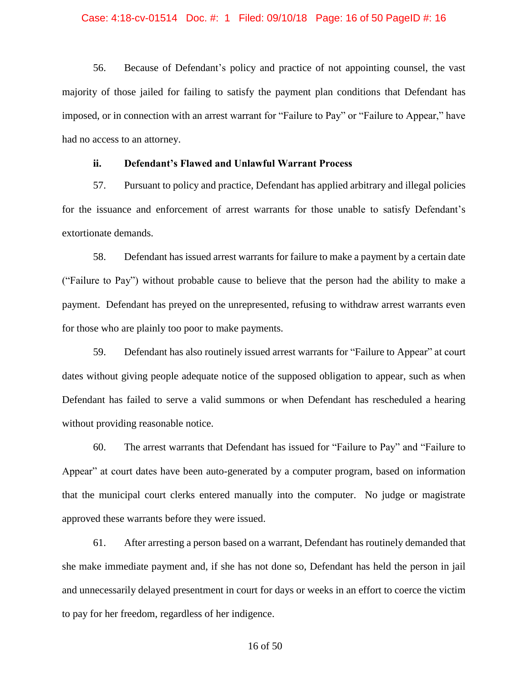### Case: 4:18-cv-01514 Doc. #: 1 Filed: 09/10/18 Page: 16 of 50 PageID #: 16

56. Because of Defendant's policy and practice of not appointing counsel, the vast majority of those jailed for failing to satisfy the payment plan conditions that Defendant has imposed, or in connection with an arrest warrant for "Failure to Pay" or "Failure to Appear," have had no access to an attorney.

## **ii. Defendant's Flawed and Unlawful Warrant Process**

57. Pursuant to policy and practice, Defendant has applied arbitrary and illegal policies for the issuance and enforcement of arrest warrants for those unable to satisfy Defendant's extortionate demands.

58. Defendant has issued arrest warrants for failure to make a payment by a certain date ("Failure to Pay") without probable cause to believe that the person had the ability to make a payment. Defendant has preyed on the unrepresented, refusing to withdraw arrest warrants even for those who are plainly too poor to make payments.

59. Defendant has also routinely issued arrest warrants for "Failure to Appear" at court dates without giving people adequate notice of the supposed obligation to appear, such as when Defendant has failed to serve a valid summons or when Defendant has rescheduled a hearing without providing reasonable notice.

60. The arrest warrants that Defendant has issued for "Failure to Pay" and "Failure to Appear" at court dates have been auto-generated by a computer program, based on information that the municipal court clerks entered manually into the computer. No judge or magistrate approved these warrants before they were issued.

61. After arresting a person based on a warrant, Defendant has routinely demanded that she make immediate payment and, if she has not done so, Defendant has held the person in jail and unnecessarily delayed presentment in court for days or weeks in an effort to coerce the victim to pay for her freedom, regardless of her indigence.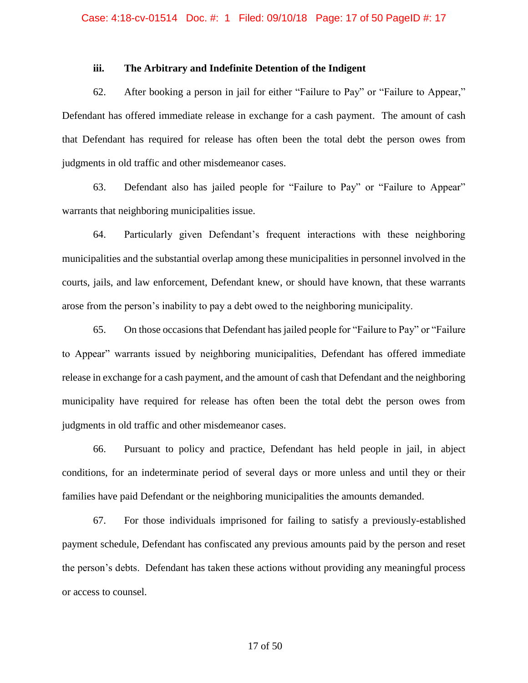### **iii. The Arbitrary and Indefinite Detention of the Indigent**

62. After booking a person in jail for either "Failure to Pay" or "Failure to Appear," Defendant has offered immediate release in exchange for a cash payment. The amount of cash that Defendant has required for release has often been the total debt the person owes from judgments in old traffic and other misdemeanor cases.

63. Defendant also has jailed people for "Failure to Pay" or "Failure to Appear" warrants that neighboring municipalities issue.

64. Particularly given Defendant's frequent interactions with these neighboring municipalities and the substantial overlap among these municipalities in personnel involved in the courts, jails, and law enforcement, Defendant knew, or should have known, that these warrants arose from the person's inability to pay a debt owed to the neighboring municipality.

65. On those occasions that Defendant has jailed people for "Failure to Pay" or "Failure to Appear" warrants issued by neighboring municipalities, Defendant has offered immediate release in exchange for a cash payment, and the amount of cash that Defendant and the neighboring municipality have required for release has often been the total debt the person owes from judgments in old traffic and other misdemeanor cases.

66. Pursuant to policy and practice, Defendant has held people in jail, in abject conditions, for an indeterminate period of several days or more unless and until they or their families have paid Defendant or the neighboring municipalities the amounts demanded.

67. For those individuals imprisoned for failing to satisfy a previously-established payment schedule, Defendant has confiscated any previous amounts paid by the person and reset the person's debts. Defendant has taken these actions without providing any meaningful process or access to counsel.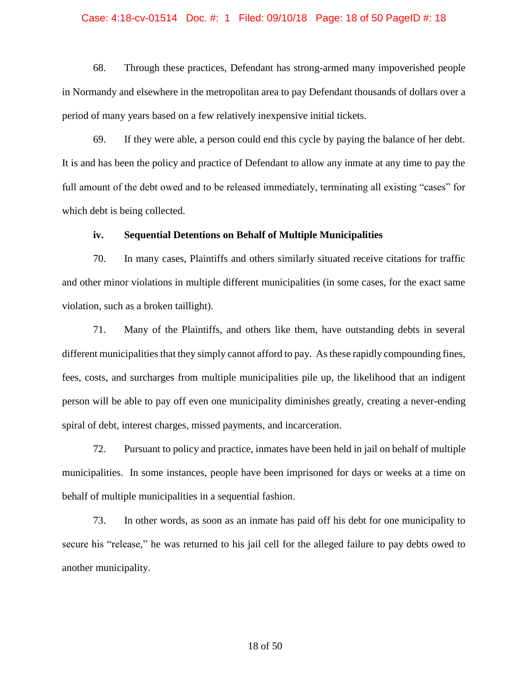#### Case: 4:18-cv-01514 Doc. #: 1 Filed: 09/10/18 Page: 18 of 50 PageID #: 18

68. Through these practices, Defendant has strong-armed many impoverished people in Normandy and elsewhere in the metropolitan area to pay Defendant thousands of dollars over a period of many years based on a few relatively inexpensive initial tickets.

69. If they were able, a person could end this cycle by paying the balance of her debt. It is and has been the policy and practice of Defendant to allow any inmate at any time to pay the full amount of the debt owed and to be released immediately, terminating all existing "cases" for which debt is being collected.

### **iv. Sequential Detentions on Behalf of Multiple Municipalities**

70. In many cases, Plaintiffs and others similarly situated receive citations for traffic and other minor violations in multiple different municipalities (in some cases, for the exact same violation, such as a broken taillight).

71. Many of the Plaintiffs, and others like them, have outstanding debts in several different municipalities that they simply cannot afford to pay. As these rapidly compounding fines, fees, costs, and surcharges from multiple municipalities pile up, the likelihood that an indigent person will be able to pay off even one municipality diminishes greatly, creating a never-ending spiral of debt, interest charges, missed payments, and incarceration.

72. Pursuant to policy and practice, inmates have been held in jail on behalf of multiple municipalities. In some instances, people have been imprisoned for days or weeks at a time on behalf of multiple municipalities in a sequential fashion.

73. In other words, as soon as an inmate has paid off his debt for one municipality to secure his "release," he was returned to his jail cell for the alleged failure to pay debts owed to another municipality.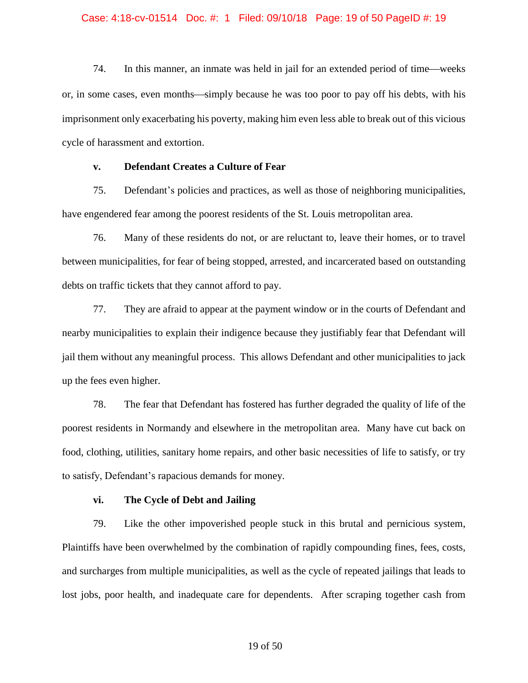### Case: 4:18-cv-01514 Doc. #: 1 Filed: 09/10/18 Page: 19 of 50 PageID #: 19

74. In this manner, an inmate was held in jail for an extended period of time—weeks or, in some cases, even months—simply because he was too poor to pay off his debts, with his imprisonment only exacerbating his poverty, making him even less able to break out of this vicious cycle of harassment and extortion.

## **v. Defendant Creates a Culture of Fear**

75. Defendant's policies and practices, as well as those of neighboring municipalities, have engendered fear among the poorest residents of the St. Louis metropolitan area.

76. Many of these residents do not, or are reluctant to, leave their homes, or to travel between municipalities, for fear of being stopped, arrested, and incarcerated based on outstanding debts on traffic tickets that they cannot afford to pay.

77. They are afraid to appear at the payment window or in the courts of Defendant and nearby municipalities to explain their indigence because they justifiably fear that Defendant will jail them without any meaningful process. This allows Defendant and other municipalities to jack up the fees even higher.

78. The fear that Defendant has fostered has further degraded the quality of life of the poorest residents in Normandy and elsewhere in the metropolitan area. Many have cut back on food, clothing, utilities, sanitary home repairs, and other basic necessities of life to satisfy, or try to satisfy, Defendant's rapacious demands for money.

# **vi. The Cycle of Debt and Jailing**

79. Like the other impoverished people stuck in this brutal and pernicious system, Plaintiffs have been overwhelmed by the combination of rapidly compounding fines, fees, costs, and surcharges from multiple municipalities, as well as the cycle of repeated jailings that leads to lost jobs, poor health, and inadequate care for dependents. After scraping together cash from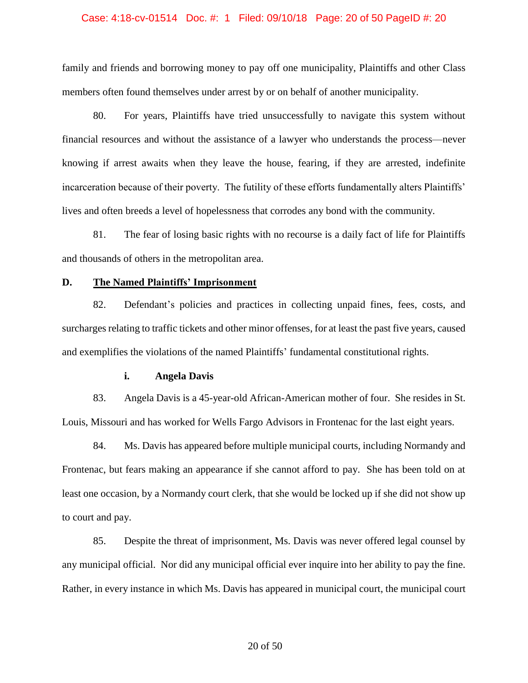### Case: 4:18-cv-01514 Doc. #: 1 Filed: 09/10/18 Page: 20 of 50 PageID #: 20

family and friends and borrowing money to pay off one municipality, Plaintiffs and other Class members often found themselves under arrest by or on behalf of another municipality.

80. For years, Plaintiffs have tried unsuccessfully to navigate this system without financial resources and without the assistance of a lawyer who understands the process—never knowing if arrest awaits when they leave the house, fearing, if they are arrested, indefinite incarceration because of their poverty. The futility of these efforts fundamentally alters Plaintiffs' lives and often breeds a level of hopelessness that corrodes any bond with the community.

81. The fear of losing basic rights with no recourse is a daily fact of life for Plaintiffs and thousands of others in the metropolitan area.

## **D. The Named Plaintiffs' Imprisonment**

82. Defendant's policies and practices in collecting unpaid fines, fees, costs, and surcharges relating to traffic tickets and other minor offenses, for at least the past five years, caused and exemplifies the violations of the named Plaintiffs' fundamental constitutional rights.

### **i. Angela Davis**

83. Angela Davis is a 45-year-old African-American mother of four. She resides in St. Louis, Missouri and has worked for Wells Fargo Advisors in Frontenac for the last eight years.

84. Ms. Davis has appeared before multiple municipal courts, including Normandy and Frontenac, but fears making an appearance if she cannot afford to pay. She has been told on at least one occasion, by a Normandy court clerk, that she would be locked up if she did not show up to court and pay.

85. Despite the threat of imprisonment, Ms. Davis was never offered legal counsel by any municipal official. Nor did any municipal official ever inquire into her ability to pay the fine. Rather, in every instance in which Ms. Davis has appeared in municipal court, the municipal court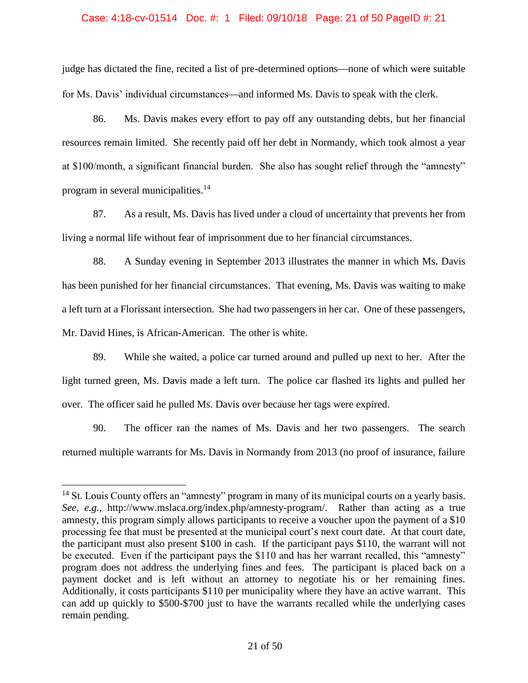### Case: 4:18-cv-01514 Doc. #: 1 Filed: 09/10/18 Page: 21 of 50 PageID #: 21

judge has dictated the fine, recited a list of pre-determined options—none of which were suitable for Ms. Davis' individual circumstances—and informed Ms. Davis to speak with the clerk.

86. Ms. Davis makes every effort to pay off any outstanding debts, but her financial resources remain limited. She recently paid off her debt in Normandy, which took almost a year at \$100/month, a significant financial burden. She also has sought relief through the "amnesty" program in several municipalities.<sup>14</sup>

87. As a result, Ms. Davis has lived under a cloud of uncertainty that prevents her from living a normal life without fear of imprisonment due to her financial circumstances.

88. A Sunday evening in September 2013 illustrates the manner in which Ms. Davis has been punished for her financial circumstances. That evening, Ms. Davis was waiting to make a left turn at a Florissant intersection. She had two passengers in her car. One of these passengers, Mr. David Hines, is African-American. The other is white.

89. While she waited, a police car turned around and pulled up next to her. After the light turned green, Ms. Davis made a left turn. The police car flashed its lights and pulled her over. The officer said he pulled Ms. Davis over because her tags were expired.

90. The officer ran the names of Ms. Davis and her two passengers. The search returned multiple warrants for Ms. Davis in Normandy from 2013 (no proof of insurance, failure

<sup>&</sup>lt;sup>14</sup> St. Louis County offers an "amnesty" program in many of its municipal courts on a yearly basis. *See, e.g.*, http://www.mslaca.org/index.php/amnesty-program/. Rather than acting as a true amnesty, this program simply allows participants to receive a voucher upon the payment of a \$10 processing fee that must be presented at the municipal court's next court date. At that court date, the participant must also present \$100 in cash. If the participant pays \$110, the warrant will not be executed. Even if the participant pays the \$110 and has her warrant recalled, this "amnesty" program does not address the underlying fines and fees. The participant is placed back on a payment docket and is left without an attorney to negotiate his or her remaining fines. Additionally, it costs participants \$110 per municipality where they have an active warrant. This can add up quickly to \$500-\$700 just to have the warrants recalled while the underlying cases remain pending.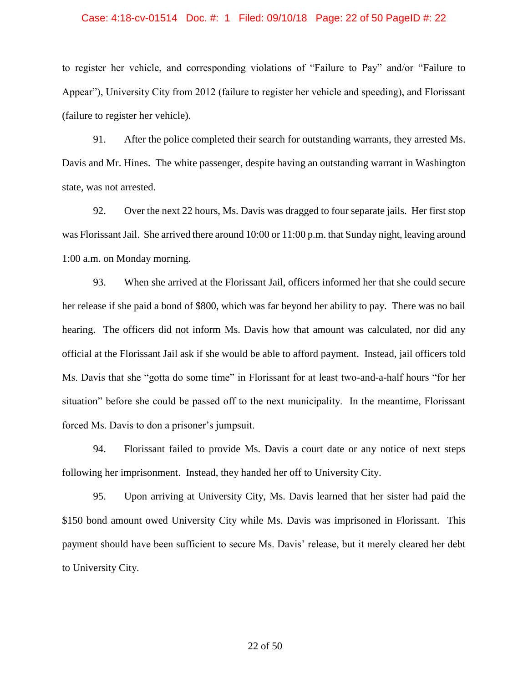# Case: 4:18-cv-01514 Doc. #: 1 Filed: 09/10/18 Page: 22 of 50 PageID #: 22

to register her vehicle, and corresponding violations of "Failure to Pay" and/or "Failure to Appear"), University City from 2012 (failure to register her vehicle and speeding), and Florissant (failure to register her vehicle).

91. After the police completed their search for outstanding warrants, they arrested Ms. Davis and Mr. Hines. The white passenger, despite having an outstanding warrant in Washington state, was not arrested.

92. Over the next 22 hours, Ms. Davis was dragged to four separate jails. Her first stop was Florissant Jail. She arrived there around 10:00 or 11:00 p.m. that Sunday night, leaving around 1:00 a.m. on Monday morning.

93. When she arrived at the Florissant Jail, officers informed her that she could secure her release if she paid a bond of \$800, which was far beyond her ability to pay. There was no bail hearing. The officers did not inform Ms. Davis how that amount was calculated, nor did any official at the Florissant Jail ask if she would be able to afford payment. Instead, jail officers told Ms. Davis that she "gotta do some time" in Florissant for at least two-and-a-half hours "for her situation" before she could be passed off to the next municipality. In the meantime, Florissant forced Ms. Davis to don a prisoner's jumpsuit.

94. Florissant failed to provide Ms. Davis a court date or any notice of next steps following her imprisonment. Instead, they handed her off to University City.

95. Upon arriving at University City, Ms. Davis learned that her sister had paid the \$150 bond amount owed University City while Ms. Davis was imprisoned in Florissant. This payment should have been sufficient to secure Ms. Davis' release, but it merely cleared her debt to University City.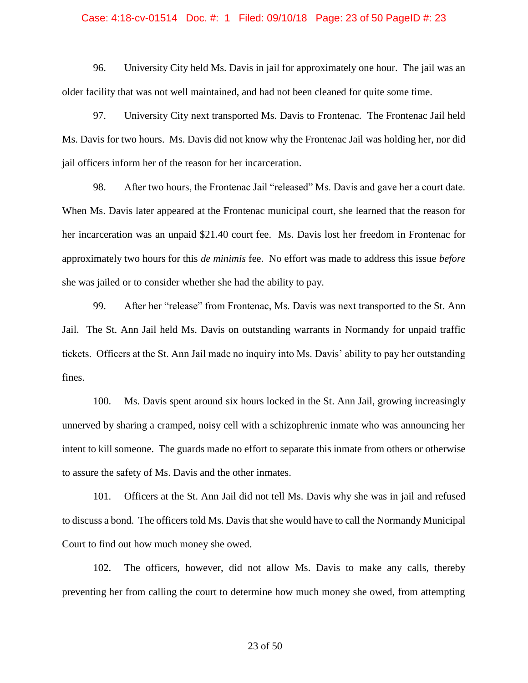# Case: 4:18-cv-01514 Doc. #: 1 Filed: 09/10/18 Page: 23 of 50 PageID #: 23

96. University City held Ms. Davis in jail for approximately one hour. The jail was an older facility that was not well maintained, and had not been cleaned for quite some time.

97. University City next transported Ms. Davis to Frontenac. The Frontenac Jail held Ms. Davis for two hours. Ms. Davis did not know why the Frontenac Jail was holding her, nor did jail officers inform her of the reason for her incarceration.

98. After two hours, the Frontenac Jail "released" Ms. Davis and gave her a court date. When Ms. Davis later appeared at the Frontenac municipal court, she learned that the reason for her incarceration was an unpaid \$21.40 court fee. Ms. Davis lost her freedom in Frontenac for approximately two hours for this *de minimis* fee. No effort was made to address this issue *before* she was jailed or to consider whether she had the ability to pay.

99. After her "release" from Frontenac, Ms. Davis was next transported to the St. Ann Jail. The St. Ann Jail held Ms. Davis on outstanding warrants in Normandy for unpaid traffic tickets. Officers at the St. Ann Jail made no inquiry into Ms. Davis' ability to pay her outstanding fines.

100. Ms. Davis spent around six hours locked in the St. Ann Jail, growing increasingly unnerved by sharing a cramped, noisy cell with a schizophrenic inmate who was announcing her intent to kill someone. The guards made no effort to separate this inmate from others or otherwise to assure the safety of Ms. Davis and the other inmates.

101. Officers at the St. Ann Jail did not tell Ms. Davis why she was in jail and refused to discuss a bond. The officers told Ms. Davis that she would have to call the Normandy Municipal Court to find out how much money she owed.

102. The officers, however, did not allow Ms. Davis to make any calls, thereby preventing her from calling the court to determine how much money she owed, from attempting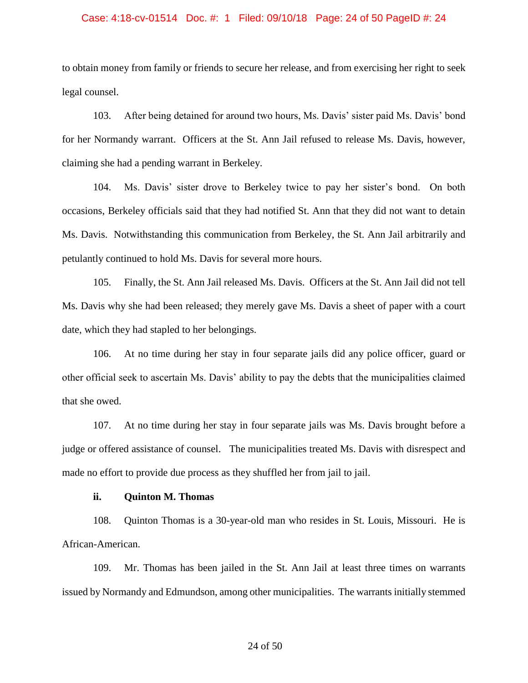### Case: 4:18-cv-01514 Doc. #: 1 Filed: 09/10/18 Page: 24 of 50 PageID #: 24

to obtain money from family or friends to secure her release, and from exercising her right to seek legal counsel.

103. After being detained for around two hours, Ms. Davis' sister paid Ms. Davis' bond for her Normandy warrant. Officers at the St. Ann Jail refused to release Ms. Davis, however, claiming she had a pending warrant in Berkeley.

104. Ms. Davis' sister drove to Berkeley twice to pay her sister's bond. On both occasions, Berkeley officials said that they had notified St. Ann that they did not want to detain Ms. Davis. Notwithstanding this communication from Berkeley, the St. Ann Jail arbitrarily and petulantly continued to hold Ms. Davis for several more hours.

105. Finally, the St. Ann Jail released Ms. Davis. Officers at the St. Ann Jail did not tell Ms. Davis why she had been released; they merely gave Ms. Davis a sheet of paper with a court date, which they had stapled to her belongings.

106. At no time during her stay in four separate jails did any police officer, guard or other official seek to ascertain Ms. Davis' ability to pay the debts that the municipalities claimed that she owed.

107. At no time during her stay in four separate jails was Ms. Davis brought before a judge or offered assistance of counsel. The municipalities treated Ms. Davis with disrespect and made no effort to provide due process as they shuffled her from jail to jail.

# **ii. Quinton M. Thomas**

108. Quinton Thomas is a 30-year-old man who resides in St. Louis, Missouri. He is African-American.

109. Mr. Thomas has been jailed in the St. Ann Jail at least three times on warrants issued by Normandy and Edmundson, among other municipalities. The warrants initially stemmed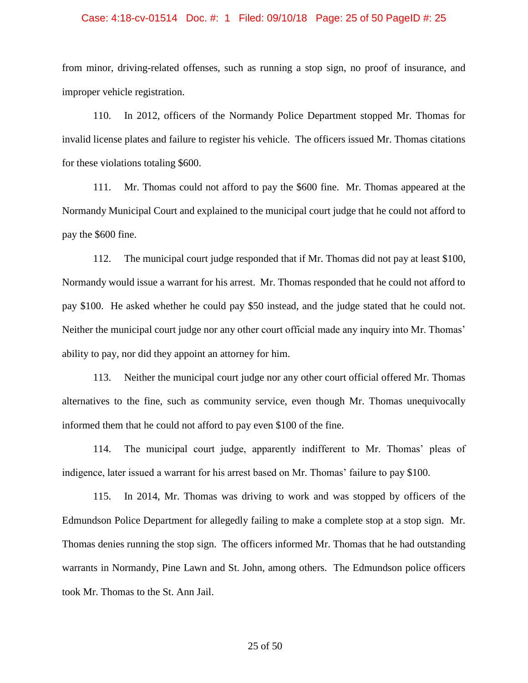#### Case: 4:18-cv-01514 Doc. #: 1 Filed: 09/10/18 Page: 25 of 50 PageID #: 25

from minor, driving-related offenses, such as running a stop sign, no proof of insurance, and improper vehicle registration.

110. In 2012, officers of the Normandy Police Department stopped Mr. Thomas for invalid license plates and failure to register his vehicle. The officers issued Mr. Thomas citations for these violations totaling \$600.

111. Mr. Thomas could not afford to pay the \$600 fine. Mr. Thomas appeared at the Normandy Municipal Court and explained to the municipal court judge that he could not afford to pay the \$600 fine.

112. The municipal court judge responded that if Mr. Thomas did not pay at least \$100, Normandy would issue a warrant for his arrest. Mr. Thomas responded that he could not afford to pay \$100. He asked whether he could pay \$50 instead, and the judge stated that he could not. Neither the municipal court judge nor any other court official made any inquiry into Mr. Thomas' ability to pay, nor did they appoint an attorney for him.

113. Neither the municipal court judge nor any other court official offered Mr. Thomas alternatives to the fine, such as community service, even though Mr. Thomas unequivocally informed them that he could not afford to pay even \$100 of the fine.

114. The municipal court judge, apparently indifferent to Mr. Thomas' pleas of indigence, later issued a warrant for his arrest based on Mr. Thomas' failure to pay \$100.

115. In 2014, Mr. Thomas was driving to work and was stopped by officers of the Edmundson Police Department for allegedly failing to make a complete stop at a stop sign. Mr. Thomas denies running the stop sign. The officers informed Mr. Thomas that he had outstanding warrants in Normandy, Pine Lawn and St. John, among others. The Edmundson police officers took Mr. Thomas to the St. Ann Jail.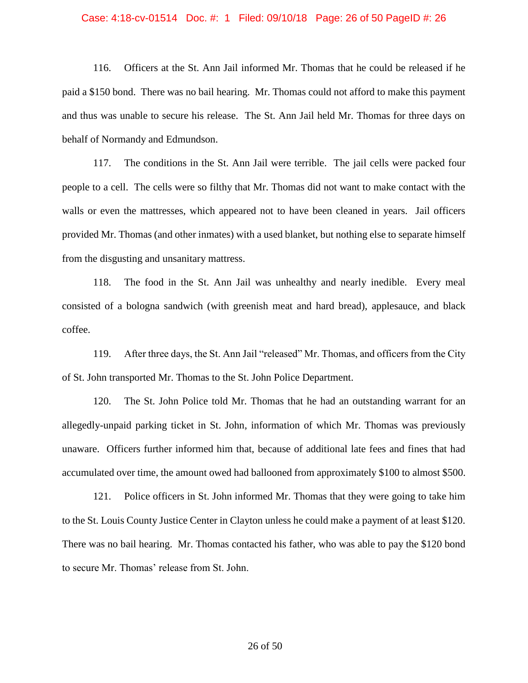#### Case: 4:18-cv-01514 Doc. #: 1 Filed: 09/10/18 Page: 26 of 50 PageID #: 26

116. Officers at the St. Ann Jail informed Mr. Thomas that he could be released if he paid a \$150 bond. There was no bail hearing. Mr. Thomas could not afford to make this payment and thus was unable to secure his release. The St. Ann Jail held Mr. Thomas for three days on behalf of Normandy and Edmundson.

117. The conditions in the St. Ann Jail were terrible. The jail cells were packed four people to a cell. The cells were so filthy that Mr. Thomas did not want to make contact with the walls or even the mattresses, which appeared not to have been cleaned in years. Jail officers provided Mr. Thomas (and other inmates) with a used blanket, but nothing else to separate himself from the disgusting and unsanitary mattress.

118. The food in the St. Ann Jail was unhealthy and nearly inedible. Every meal consisted of a bologna sandwich (with greenish meat and hard bread), applesauce, and black coffee.

119. After three days, the St. Ann Jail "released" Mr. Thomas, and officers from the City of St. John transported Mr. Thomas to the St. John Police Department.

120. The St. John Police told Mr. Thomas that he had an outstanding warrant for an allegedly-unpaid parking ticket in St. John, information of which Mr. Thomas was previously unaware. Officers further informed him that, because of additional late fees and fines that had accumulated over time, the amount owed had ballooned from approximately \$100 to almost \$500.

121. Police officers in St. John informed Mr. Thomas that they were going to take him to the St. Louis County Justice Center in Clayton unless he could make a payment of at least \$120. There was no bail hearing. Mr. Thomas contacted his father, who was able to pay the \$120 bond to secure Mr. Thomas' release from St. John.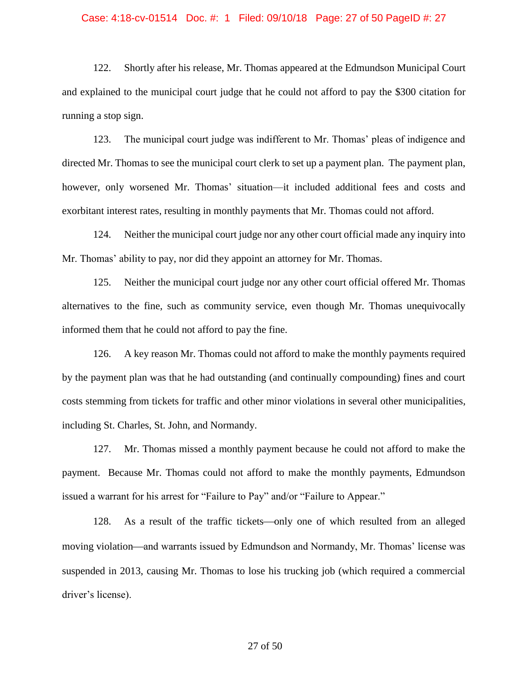# Case: 4:18-cv-01514 Doc. #: 1 Filed: 09/10/18 Page: 27 of 50 PageID #: 27

122. Shortly after his release, Mr. Thomas appeared at the Edmundson Municipal Court and explained to the municipal court judge that he could not afford to pay the \$300 citation for running a stop sign.

123. The municipal court judge was indifferent to Mr. Thomas' pleas of indigence and directed Mr. Thomas to see the municipal court clerk to set up a payment plan. The payment plan, however, only worsened Mr. Thomas' situation—it included additional fees and costs and exorbitant interest rates, resulting in monthly payments that Mr. Thomas could not afford.

124. Neither the municipal court judge nor any other court official made any inquiry into Mr. Thomas' ability to pay, nor did they appoint an attorney for Mr. Thomas.

125. Neither the municipal court judge nor any other court official offered Mr. Thomas alternatives to the fine, such as community service, even though Mr. Thomas unequivocally informed them that he could not afford to pay the fine.

126. A key reason Mr. Thomas could not afford to make the monthly payments required by the payment plan was that he had outstanding (and continually compounding) fines and court costs stemming from tickets for traffic and other minor violations in several other municipalities, including St. Charles, St. John, and Normandy.

127. Mr. Thomas missed a monthly payment because he could not afford to make the payment. Because Mr. Thomas could not afford to make the monthly payments, Edmundson issued a warrant for his arrest for "Failure to Pay" and/or "Failure to Appear."

128. As a result of the traffic tickets—only one of which resulted from an alleged moving violation—and warrants issued by Edmundson and Normandy, Mr. Thomas' license was suspended in 2013, causing Mr. Thomas to lose his trucking job (which required a commercial driver's license).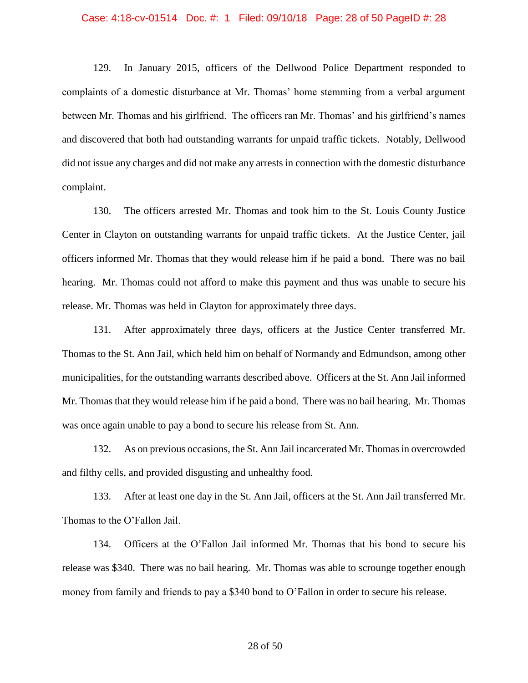# Case: 4:18-cv-01514 Doc. #: 1 Filed: 09/10/18 Page: 28 of 50 PageID #: 28

129. In January 2015, officers of the Dellwood Police Department responded to complaints of a domestic disturbance at Mr. Thomas' home stemming from a verbal argument between Mr. Thomas and his girlfriend. The officers ran Mr. Thomas' and his girlfriend's names and discovered that both had outstanding warrants for unpaid traffic tickets. Notably, Dellwood did not issue any charges and did not make any arrests in connection with the domestic disturbance complaint.

130. The officers arrested Mr. Thomas and took him to the St. Louis County Justice Center in Clayton on outstanding warrants for unpaid traffic tickets. At the Justice Center, jail officers informed Mr. Thomas that they would release him if he paid a bond. There was no bail hearing. Mr. Thomas could not afford to make this payment and thus was unable to secure his release. Mr. Thomas was held in Clayton for approximately three days.

131. After approximately three days, officers at the Justice Center transferred Mr. Thomas to the St. Ann Jail, which held him on behalf of Normandy and Edmundson, among other municipalities, for the outstanding warrants described above. Officers at the St. Ann Jail informed Mr. Thomas that they would release him if he paid a bond. There was no bail hearing. Mr. Thomas was once again unable to pay a bond to secure his release from St. Ann.

132. As on previous occasions, the St. Ann Jail incarcerated Mr. Thomas in overcrowded and filthy cells, and provided disgusting and unhealthy food.

133. After at least one day in the St. Ann Jail, officers at the St. Ann Jail transferred Mr. Thomas to the O'Fallon Jail.

134. Officers at the O'Fallon Jail informed Mr. Thomas that his bond to secure his release was \$340. There was no bail hearing. Mr. Thomas was able to scrounge together enough money from family and friends to pay a \$340 bond to O'Fallon in order to secure his release.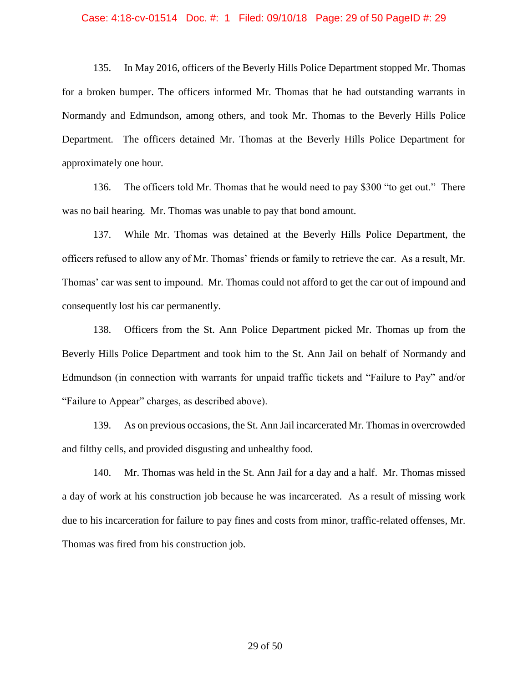# Case: 4:18-cv-01514 Doc. #: 1 Filed: 09/10/18 Page: 29 of 50 PageID #: 29

135. In May 2016, officers of the Beverly Hills Police Department stopped Mr. Thomas for a broken bumper. The officers informed Mr. Thomas that he had outstanding warrants in Normandy and Edmundson, among others, and took Mr. Thomas to the Beverly Hills Police Department. The officers detained Mr. Thomas at the Beverly Hills Police Department for approximately one hour.

136. The officers told Mr. Thomas that he would need to pay \$300 "to get out." There was no bail hearing. Mr. Thomas was unable to pay that bond amount.

137. While Mr. Thomas was detained at the Beverly Hills Police Department, the officers refused to allow any of Mr. Thomas' friends or family to retrieve the car. As a result, Mr. Thomas' car was sent to impound. Mr. Thomas could not afford to get the car out of impound and consequently lost his car permanently.

138. Officers from the St. Ann Police Department picked Mr. Thomas up from the Beverly Hills Police Department and took him to the St. Ann Jail on behalf of Normandy and Edmundson (in connection with warrants for unpaid traffic tickets and "Failure to Pay" and/or "Failure to Appear" charges, as described above).

139. As on previous occasions, the St. Ann Jail incarcerated Mr. Thomas in overcrowded and filthy cells, and provided disgusting and unhealthy food.

140. Mr. Thomas was held in the St. Ann Jail for a day and a half. Mr. Thomas missed a day of work at his construction job because he was incarcerated. As a result of missing work due to his incarceration for failure to pay fines and costs from minor, traffic-related offenses, Mr. Thomas was fired from his construction job.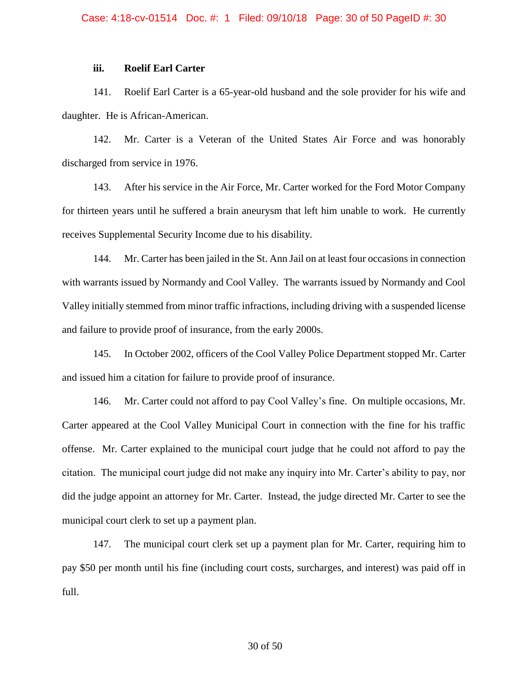# **iii. Roelif Earl Carter**

141. Roelif Earl Carter is a 65-year-old husband and the sole provider for his wife and daughter. He is African-American.

142. Mr. Carter is a Veteran of the United States Air Force and was honorably discharged from service in 1976.

143. After his service in the Air Force, Mr. Carter worked for the Ford Motor Company for thirteen years until he suffered a brain aneurysm that left him unable to work. He currently receives Supplemental Security Income due to his disability.

144. Mr. Carter has been jailed in the St. Ann Jail on at least four occasions in connection with warrants issued by Normandy and Cool Valley. The warrants issued by Normandy and Cool Valley initially stemmed from minor traffic infractions, including driving with a suspended license and failure to provide proof of insurance, from the early 2000s.

145. In October 2002, officers of the Cool Valley Police Department stopped Mr. Carter and issued him a citation for failure to provide proof of insurance.

146. Mr. Carter could not afford to pay Cool Valley's fine. On multiple occasions, Mr. Carter appeared at the Cool Valley Municipal Court in connection with the fine for his traffic offense. Mr. Carter explained to the municipal court judge that he could not afford to pay the citation. The municipal court judge did not make any inquiry into Mr. Carter's ability to pay, nor did the judge appoint an attorney for Mr. Carter. Instead, the judge directed Mr. Carter to see the municipal court clerk to set up a payment plan.

147. The municipal court clerk set up a payment plan for Mr. Carter, requiring him to pay \$50 per month until his fine (including court costs, surcharges, and interest) was paid off in full.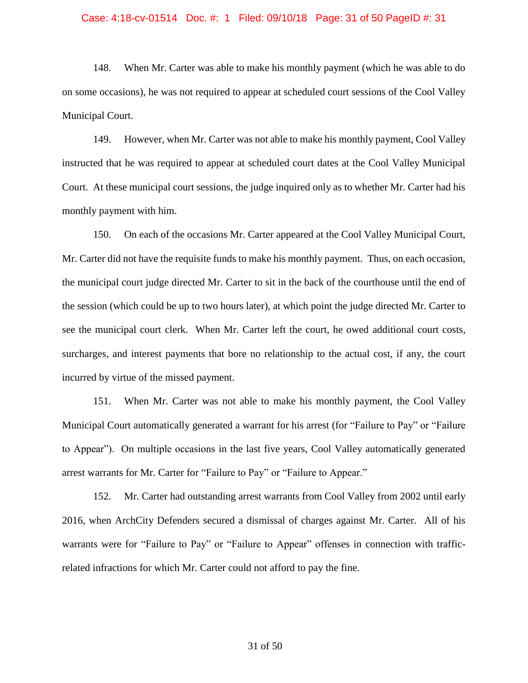#### Case: 4:18-cv-01514 Doc. #: 1 Filed: 09/10/18 Page: 31 of 50 PageID #: 31

148. When Mr. Carter was able to make his monthly payment (which he was able to do on some occasions), he was not required to appear at scheduled court sessions of the Cool Valley Municipal Court.

149. However, when Mr. Carter was not able to make his monthly payment, Cool Valley instructed that he was required to appear at scheduled court dates at the Cool Valley Municipal Court. At these municipal court sessions, the judge inquired only as to whether Mr. Carter had his monthly payment with him.

150. On each of the occasions Mr. Carter appeared at the Cool Valley Municipal Court, Mr. Carter did not have the requisite funds to make his monthly payment. Thus, on each occasion, the municipal court judge directed Mr. Carter to sit in the back of the courthouse until the end of the session (which could be up to two hours later), at which point the judge directed Mr. Carter to see the municipal court clerk. When Mr. Carter left the court, he owed additional court costs, surcharges, and interest payments that bore no relationship to the actual cost, if any, the court incurred by virtue of the missed payment.

151. When Mr. Carter was not able to make his monthly payment, the Cool Valley Municipal Court automatically generated a warrant for his arrest (for "Failure to Pay" or "Failure to Appear"). On multiple occasions in the last five years, Cool Valley automatically generated arrest warrants for Mr. Carter for "Failure to Pay" or "Failure to Appear."

152. Mr. Carter had outstanding arrest warrants from Cool Valley from 2002 until early 2016, when ArchCity Defenders secured a dismissal of charges against Mr. Carter. All of his warrants were for "Failure to Pay" or "Failure to Appear" offenses in connection with trafficrelated infractions for which Mr. Carter could not afford to pay the fine.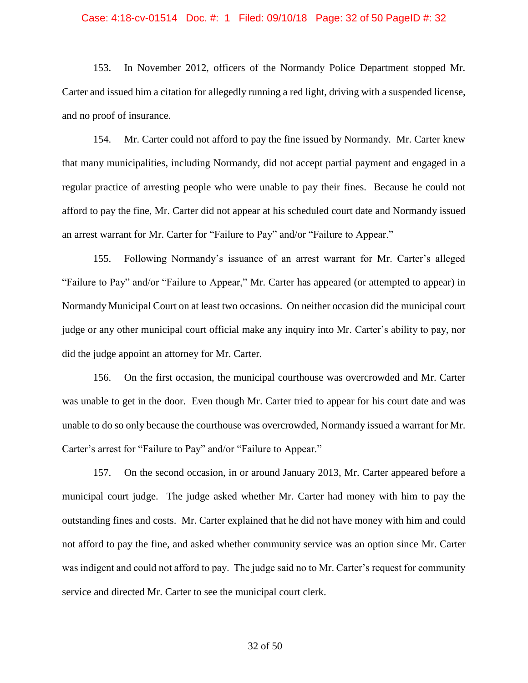#### Case: 4:18-cv-01514 Doc. #: 1 Filed: 09/10/18 Page: 32 of 50 PageID #: 32

153. In November 2012, officers of the Normandy Police Department stopped Mr. Carter and issued him a citation for allegedly running a red light, driving with a suspended license, and no proof of insurance.

154. Mr. Carter could not afford to pay the fine issued by Normandy. Mr. Carter knew that many municipalities, including Normandy, did not accept partial payment and engaged in a regular practice of arresting people who were unable to pay their fines. Because he could not afford to pay the fine, Mr. Carter did not appear at his scheduled court date and Normandy issued an arrest warrant for Mr. Carter for "Failure to Pay" and/or "Failure to Appear."

155. Following Normandy's issuance of an arrest warrant for Mr. Carter's alleged "Failure to Pay" and/or "Failure to Appear," Mr. Carter has appeared (or attempted to appear) in Normandy Municipal Court on at least two occasions. On neither occasion did the municipal court judge or any other municipal court official make any inquiry into Mr. Carter's ability to pay, nor did the judge appoint an attorney for Mr. Carter.

156. On the first occasion, the municipal courthouse was overcrowded and Mr. Carter was unable to get in the door. Even though Mr. Carter tried to appear for his court date and was unable to do so only because the courthouse was overcrowded, Normandy issued a warrant for Mr. Carter's arrest for "Failure to Pay" and/or "Failure to Appear."

157. On the second occasion, in or around January 2013, Mr. Carter appeared before a municipal court judge. The judge asked whether Mr. Carter had money with him to pay the outstanding fines and costs. Mr. Carter explained that he did not have money with him and could not afford to pay the fine, and asked whether community service was an option since Mr. Carter was indigent and could not afford to pay. The judge said no to Mr. Carter's request for community service and directed Mr. Carter to see the municipal court clerk.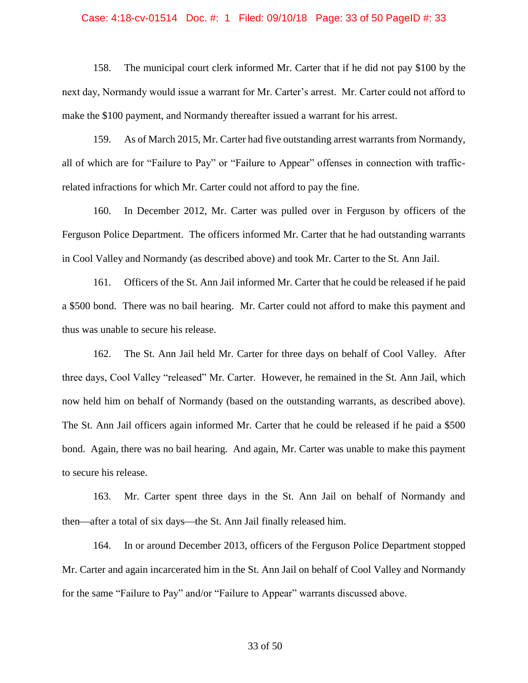# Case: 4:18-cv-01514 Doc. #: 1 Filed: 09/10/18 Page: 33 of 50 PageID #: 33

158. The municipal court clerk informed Mr. Carter that if he did not pay \$100 by the next day, Normandy would issue a warrant for Mr. Carter's arrest. Mr. Carter could not afford to make the \$100 payment, and Normandy thereafter issued a warrant for his arrest.

159. As of March 2015, Mr. Carter had five outstanding arrest warrants from Normandy, all of which are for "Failure to Pay" or "Failure to Appear" offenses in connection with trafficrelated infractions for which Mr. Carter could not afford to pay the fine.

160. In December 2012, Mr. Carter was pulled over in Ferguson by officers of the Ferguson Police Department. The officers informed Mr. Carter that he had outstanding warrants in Cool Valley and Normandy (as described above) and took Mr. Carter to the St. Ann Jail.

161. Officers of the St. Ann Jail informed Mr. Carter that he could be released if he paid a \$500 bond. There was no bail hearing. Mr. Carter could not afford to make this payment and thus was unable to secure his release.

162. The St. Ann Jail held Mr. Carter for three days on behalf of Cool Valley. After three days, Cool Valley "released" Mr. Carter. However, he remained in the St. Ann Jail, which now held him on behalf of Normandy (based on the outstanding warrants, as described above). The St. Ann Jail officers again informed Mr. Carter that he could be released if he paid a \$500 bond. Again, there was no bail hearing. And again, Mr. Carter was unable to make this payment to secure his release.

163. Mr. Carter spent three days in the St. Ann Jail on behalf of Normandy and then—after a total of six days—the St. Ann Jail finally released him.

164. In or around December 2013, officers of the Ferguson Police Department stopped Mr. Carter and again incarcerated him in the St. Ann Jail on behalf of Cool Valley and Normandy for the same "Failure to Pay" and/or "Failure to Appear" warrants discussed above.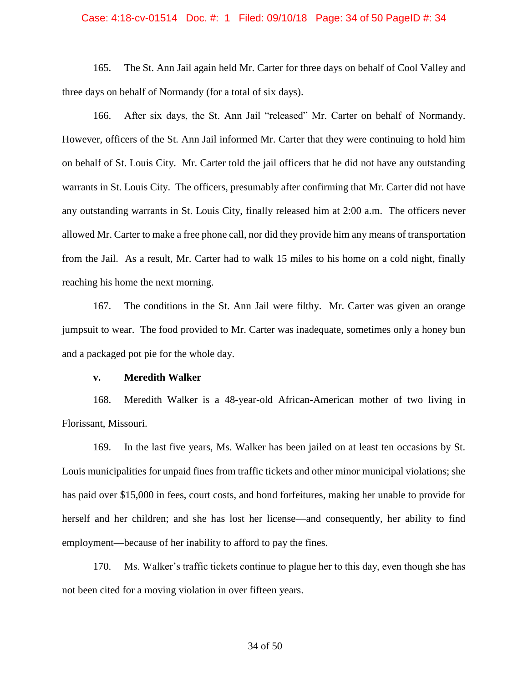### Case: 4:18-cv-01514 Doc. #: 1 Filed: 09/10/18 Page: 34 of 50 PageID #: 34

165. The St. Ann Jail again held Mr. Carter for three days on behalf of Cool Valley and three days on behalf of Normandy (for a total of six days).

166. After six days, the St. Ann Jail "released" Mr. Carter on behalf of Normandy. However, officers of the St. Ann Jail informed Mr. Carter that they were continuing to hold him on behalf of St. Louis City. Mr. Carter told the jail officers that he did not have any outstanding warrants in St. Louis City. The officers, presumably after confirming that Mr. Carter did not have any outstanding warrants in St. Louis City, finally released him at 2:00 a.m. The officers never allowed Mr. Carter to make a free phone call, nor did they provide him any means of transportation from the Jail. As a result, Mr. Carter had to walk 15 miles to his home on a cold night, finally reaching his home the next morning.

167. The conditions in the St. Ann Jail were filthy. Mr. Carter was given an orange jumpsuit to wear. The food provided to Mr. Carter was inadequate, sometimes only a honey bun and a packaged pot pie for the whole day.

### **v. Meredith Walker**

168. Meredith Walker is a 48-year-old African-American mother of two living in Florissant, Missouri.

169. In the last five years, Ms. Walker has been jailed on at least ten occasions by St. Louis municipalities for unpaid fines from traffic tickets and other minor municipal violations; she has paid over \$15,000 in fees, court costs, and bond forfeitures, making her unable to provide for herself and her children; and she has lost her license—and consequently, her ability to find employment—because of her inability to afford to pay the fines.

170. Ms. Walker's traffic tickets continue to plague her to this day, even though she has not been cited for a moving violation in over fifteen years.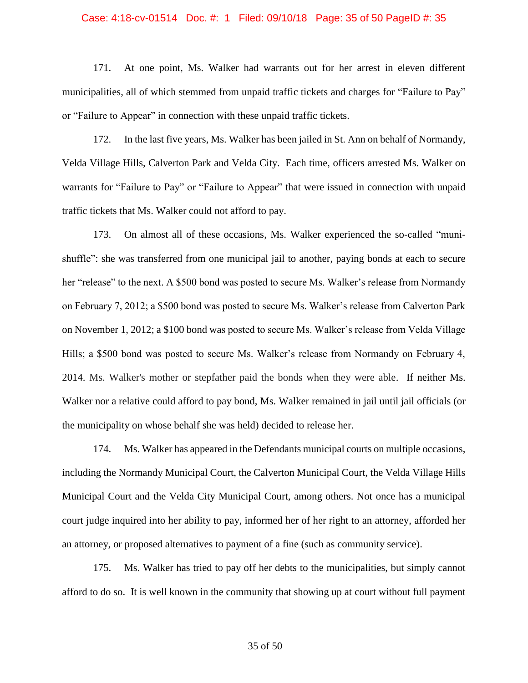#### Case: 4:18-cv-01514 Doc. #: 1 Filed: 09/10/18 Page: 35 of 50 PageID #: 35

171. At one point, Ms. Walker had warrants out for her arrest in eleven different municipalities, all of which stemmed from unpaid traffic tickets and charges for "Failure to Pay" or "Failure to Appear" in connection with these unpaid traffic tickets.

172. In the last five years, Ms. Walker has been jailed in St. Ann on behalf of Normandy, Velda Village Hills, Calverton Park and Velda City. Each time, officers arrested Ms. Walker on warrants for "Failure to Pay" or "Failure to Appear" that were issued in connection with unpaid traffic tickets that Ms. Walker could not afford to pay.

173. On almost all of these occasions, Ms. Walker experienced the so-called "munishuffle": she was transferred from one municipal jail to another, paying bonds at each to secure her "release" to the next. A \$500 bond was posted to secure Ms. Walker's release from Normandy on February 7, 2012; a \$500 bond was posted to secure Ms. Walker's release from Calverton Park on November 1, 2012; a \$100 bond was posted to secure Ms. Walker's release from Velda Village Hills; a \$500 bond was posted to secure Ms. Walker's release from Normandy on February 4, 2014. Ms. Walker's mother or stepfather paid the bonds when they were able. If neither Ms. Walker nor a relative could afford to pay bond, Ms. Walker remained in jail until jail officials (or the municipality on whose behalf she was held) decided to release her.

174. Ms. Walker has appeared in the Defendants municipal courts on multiple occasions, including the Normandy Municipal Court, the Calverton Municipal Court, the Velda Village Hills Municipal Court and the Velda City Municipal Court, among others. Not once has a municipal court judge inquired into her ability to pay, informed her of her right to an attorney, afforded her an attorney, or proposed alternatives to payment of a fine (such as community service).

175. Ms. Walker has tried to pay off her debts to the municipalities, but simply cannot afford to do so. It is well known in the community that showing up at court without full payment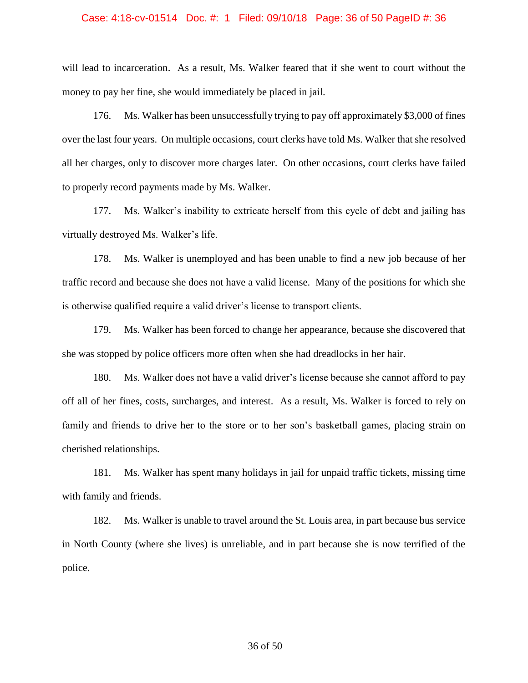#### Case: 4:18-cv-01514 Doc. #: 1 Filed: 09/10/18 Page: 36 of 50 PageID #: 36

will lead to incarceration. As a result, Ms. Walker feared that if she went to court without the money to pay her fine, she would immediately be placed in jail.

176. Ms. Walker has been unsuccessfully trying to pay off approximately \$3,000 of fines over the last four years. On multiple occasions, court clerks have told Ms. Walker that she resolved all her charges, only to discover more charges later. On other occasions, court clerks have failed to properly record payments made by Ms. Walker.

177. Ms. Walker's inability to extricate herself from this cycle of debt and jailing has virtually destroyed Ms. Walker's life.

178. Ms. Walker is unemployed and has been unable to find a new job because of her traffic record and because she does not have a valid license. Many of the positions for which she is otherwise qualified require a valid driver's license to transport clients.

179. Ms. Walker has been forced to change her appearance, because she discovered that she was stopped by police officers more often when she had dreadlocks in her hair.

180. Ms. Walker does not have a valid driver's license because she cannot afford to pay off all of her fines, costs, surcharges, and interest. As a result, Ms. Walker is forced to rely on family and friends to drive her to the store or to her son's basketball games, placing strain on cherished relationships.

181. Ms. Walker has spent many holidays in jail for unpaid traffic tickets, missing time with family and friends.

182. Ms. Walker is unable to travel around the St. Louis area, in part because bus service in North County (where she lives) is unreliable, and in part because she is now terrified of the police.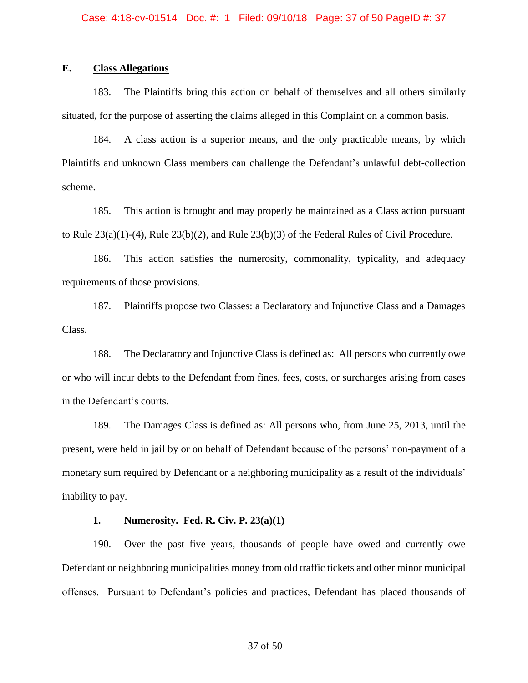# **E. Class Allegations**

183. The Plaintiffs bring this action on behalf of themselves and all others similarly situated, for the purpose of asserting the claims alleged in this Complaint on a common basis.

184. A class action is a superior means, and the only practicable means, by which Plaintiffs and unknown Class members can challenge the Defendant's unlawful debt-collection scheme.

185. This action is brought and may properly be maintained as a Class action pursuant to Rule 23(a)(1)-(4), Rule 23(b)(2), and Rule 23(b)(3) of the Federal Rules of Civil Procedure.

186. This action satisfies the numerosity, commonality, typicality, and adequacy requirements of those provisions.

187. Plaintiffs propose two Classes: a Declaratory and Injunctive Class and a Damages Class.

188. The Declaratory and Injunctive Class is defined as: All persons who currently owe or who will incur debts to the Defendant from fines, fees, costs, or surcharges arising from cases in the Defendant's courts.

189. The Damages Class is defined as: All persons who, from June 25, 2013, until the present, were held in jail by or on behalf of Defendant because of the persons' non-payment of a monetary sum required by Defendant or a neighboring municipality as a result of the individuals' inability to pay.

### **1. Numerosity. Fed. R. Civ. P. 23(a)(1)**

190. Over the past five years, thousands of people have owed and currently owe Defendant or neighboring municipalities money from old traffic tickets and other minor municipal offenses. Pursuant to Defendant's policies and practices, Defendant has placed thousands of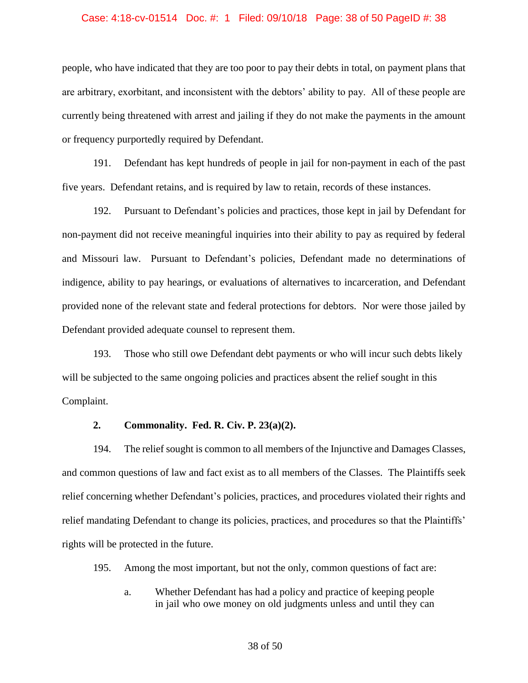#### Case: 4:18-cv-01514 Doc. #: 1 Filed: 09/10/18 Page: 38 of 50 PageID #: 38

people, who have indicated that they are too poor to pay their debts in total, on payment plans that are arbitrary, exorbitant, and inconsistent with the debtors' ability to pay. All of these people are currently being threatened with arrest and jailing if they do not make the payments in the amount or frequency purportedly required by Defendant.

191. Defendant has kept hundreds of people in jail for non-payment in each of the past five years. Defendant retains, and is required by law to retain, records of these instances.

192. Pursuant to Defendant's policies and practices, those kept in jail by Defendant for non-payment did not receive meaningful inquiries into their ability to pay as required by federal and Missouri law. Pursuant to Defendant's policies, Defendant made no determinations of indigence, ability to pay hearings, or evaluations of alternatives to incarceration, and Defendant provided none of the relevant state and federal protections for debtors. Nor were those jailed by Defendant provided adequate counsel to represent them.

193. Those who still owe Defendant debt payments or who will incur such debts likely will be subjected to the same ongoing policies and practices absent the relief sought in this Complaint.

### **2. Commonality. Fed. R. Civ. P. 23(a)(2).**

194. The relief sought is common to all members of the Injunctive and Damages Classes, and common questions of law and fact exist as to all members of the Classes. The Plaintiffs seek relief concerning whether Defendant's policies, practices, and procedures violated their rights and relief mandating Defendant to change its policies, practices, and procedures so that the Plaintiffs' rights will be protected in the future.

195. Among the most important, but not the only, common questions of fact are:

a. Whether Defendant has had a policy and practice of keeping people in jail who owe money on old judgments unless and until they can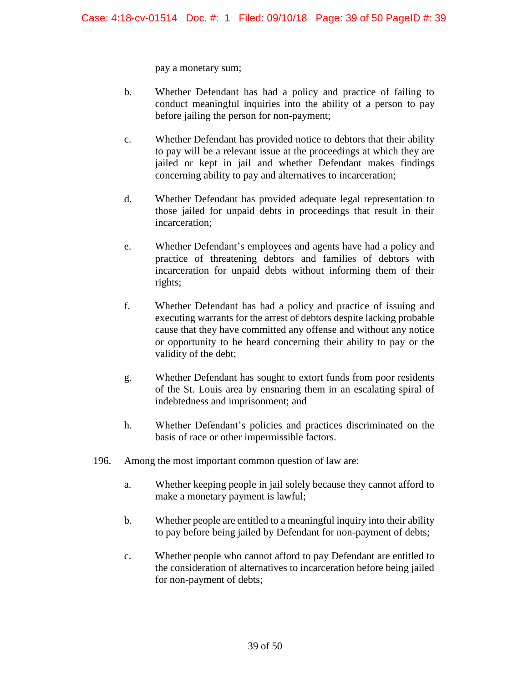pay a monetary sum;

- b. Whether Defendant has had a policy and practice of failing to conduct meaningful inquiries into the ability of a person to pay before jailing the person for non-payment;
- c. Whether Defendant has provided notice to debtors that their ability to pay will be a relevant issue at the proceedings at which they are jailed or kept in jail and whether Defendant makes findings concerning ability to pay and alternatives to incarceration;
- d. Whether Defendant has provided adequate legal representation to those jailed for unpaid debts in proceedings that result in their incarceration;
- e. Whether Defendant's employees and agents have had a policy and practice of threatening debtors and families of debtors with incarceration for unpaid debts without informing them of their rights;
- f. Whether Defendant has had a policy and practice of issuing and executing warrants for the arrest of debtors despite lacking probable cause that they have committed any offense and without any notice or opportunity to be heard concerning their ability to pay or the validity of the debt;
- g. Whether Defendant has sought to extort funds from poor residents of the St. Louis area by ensnaring them in an escalating spiral of indebtedness and imprisonment; and
- h. Whether Defendant's policies and practices discriminated on the basis of race or other impermissible factors.
- 196. Among the most important common question of law are:
	- a. Whether keeping people in jail solely because they cannot afford to make a monetary payment is lawful;
	- b. Whether people are entitled to a meaningful inquiry into their ability to pay before being jailed by Defendant for non-payment of debts;
	- c. Whether people who cannot afford to pay Defendant are entitled to the consideration of alternatives to incarceration before being jailed for non-payment of debts;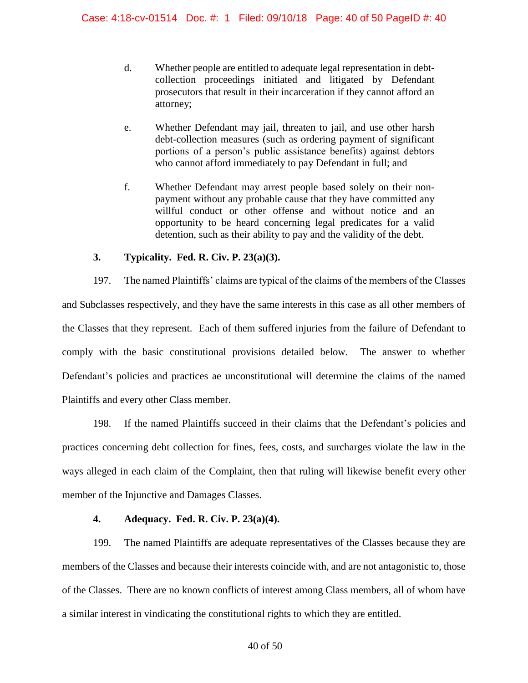- d. Whether people are entitled to adequate legal representation in debtcollection proceedings initiated and litigated by Defendant prosecutors that result in their incarceration if they cannot afford an attorney;
- e. Whether Defendant may jail, threaten to jail, and use other harsh debt-collection measures (such as ordering payment of significant portions of a person's public assistance benefits) against debtors who cannot afford immediately to pay Defendant in full; and
- f. Whether Defendant may arrest people based solely on their nonpayment without any probable cause that they have committed any willful conduct or other offense and without notice and an opportunity to be heard concerning legal predicates for a valid detention, such as their ability to pay and the validity of the debt.

# **3. Typicality. Fed. R. Civ. P. 23(a)(3).**

197. The named Plaintiffs' claims are typical of the claims of the members of the Classes and Subclasses respectively, and they have the same interests in this case as all other members of the Classes that they represent. Each of them suffered injuries from the failure of Defendant to comply with the basic constitutional provisions detailed below. The answer to whether Defendant's policies and practices ae unconstitutional will determine the claims of the named Plaintiffs and every other Class member.

198. If the named Plaintiffs succeed in their claims that the Defendant's policies and practices concerning debt collection for fines, fees, costs, and surcharges violate the law in the ways alleged in each claim of the Complaint, then that ruling will likewise benefit every other member of the Injunctive and Damages Classes.

# **4. Adequacy. Fed. R. Civ. P. 23(a)(4).**

199. The named Plaintiffs are adequate representatives of the Classes because they are members of the Classes and because their interests coincide with, and are not antagonistic to, those of the Classes. There are no known conflicts of interest among Class members, all of whom have a similar interest in vindicating the constitutional rights to which they are entitled.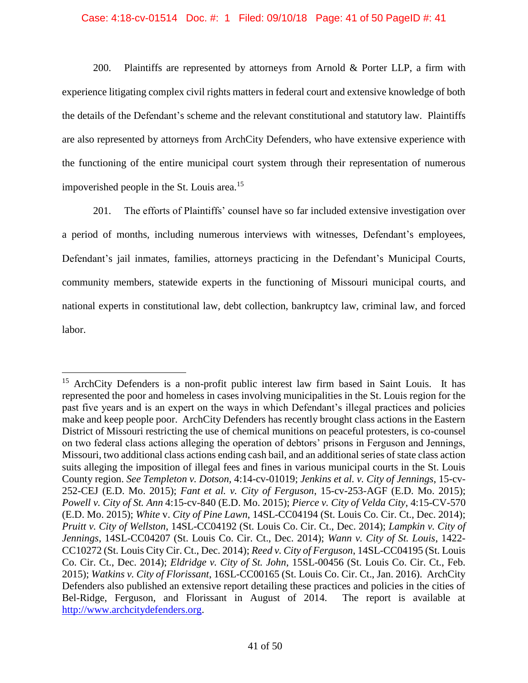### Case: 4:18-cv-01514 Doc. #: 1 Filed: 09/10/18 Page: 41 of 50 PageID #: 41

200. Plaintiffs are represented by attorneys from Arnold & Porter LLP, a firm with experience litigating complex civil rights matters in federal court and extensive knowledge of both the details of the Defendant's scheme and the relevant constitutional and statutory law. Plaintiffs are also represented by attorneys from ArchCity Defenders, who have extensive experience with the functioning of the entire municipal court system through their representation of numerous impoverished people in the St. Louis area. 15

201. The efforts of Plaintiffs' counsel have so far included extensive investigation over a period of months, including numerous interviews with witnesses, Defendant's employees, Defendant's jail inmates, families, attorneys practicing in the Defendant's Municipal Courts, community members, statewide experts in the functioning of Missouri municipal courts, and national experts in constitutional law, debt collection, bankruptcy law, criminal law, and forced labor.

<sup>&</sup>lt;sup>15</sup> ArchCity Defenders is a non-profit public interest law firm based in Saint Louis. It has represented the poor and homeless in cases involving municipalities in the St. Louis region for the past five years and is an expert on the ways in which Defendant's illegal practices and policies make and keep people poor. ArchCity Defenders has recently brought class actions in the Eastern District of Missouri restricting the use of chemical munitions on peaceful protesters, is co-counsel on two federal class actions alleging the operation of debtors' prisons in Ferguson and Jennings, Missouri, two additional class actions ending cash bail, and an additional series of state class action suits alleging the imposition of illegal fees and fines in various municipal courts in the St. Louis County region. *See Templeton v. Dotson,* 4:14-cv-01019; *Jenkins et al. v. City of Jennings*, 15-cv-252-CEJ (E.D. Mo. 2015); *Fant et al. v. City of Ferguson*, 15-cv-253-AGF (E.D. Mo. 2015); *Powell v. City of St. Ann* 4:15-cv-840 (E.D. Mo. 2015); *Pierce v. City of Velda City*, 4:15-CV-570 (E.D. Mo. 2015); *White* v. *City of Pine Lawn*, 14SL-CC04194 (St. Louis Co. Cir. Ct., Dec. 2014); *Pruitt v. City of Wellston*, 14SL-CC04192 (St. Louis Co. Cir. Ct., Dec. 2014); *Lampkin v. City of Jennings*, 14SL-CC04207 (St. Louis Co. Cir. Ct., Dec. 2014); *Wann v. City of St. Louis*, 1422- CC10272 (St. Louis City Cir. Ct., Dec. 2014); *Reed v. City of Ferguson*, 14SL-CC04195 (St. Louis Co. Cir. Ct., Dec. 2014); *Eldridge v. City of St. John*, 15SL-00456 (St. Louis Co. Cir. Ct., Feb. 2015); *Watkins v. City of Florissant*, 16SL-CC00165 (St. Louis Co. Cir. Ct., Jan. 2016). ArchCity Defenders also published an extensive report detailing these practices and policies in the cities of Bel-Ridge, Ferguson, and Florissant in August of 2014. The report is available at [http://www.archcitydefenders.org.](http://www.archcitydefenders.org/)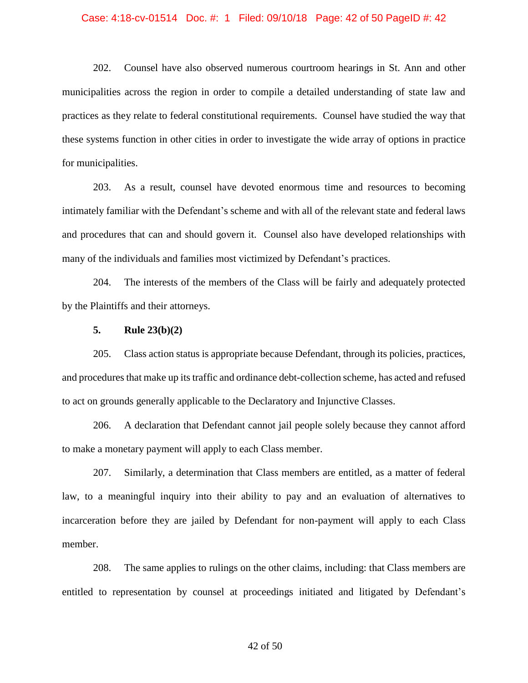#### Case: 4:18-cv-01514 Doc. #: 1 Filed: 09/10/18 Page: 42 of 50 PageID #: 42

202. Counsel have also observed numerous courtroom hearings in St. Ann and other municipalities across the region in order to compile a detailed understanding of state law and practices as they relate to federal constitutional requirements. Counsel have studied the way that these systems function in other cities in order to investigate the wide array of options in practice for municipalities.

203. As a result, counsel have devoted enormous time and resources to becoming intimately familiar with the Defendant's scheme and with all of the relevant state and federal laws and procedures that can and should govern it. Counsel also have developed relationships with many of the individuals and families most victimized by Defendant's practices.

204. The interests of the members of the Class will be fairly and adequately protected by the Plaintiffs and their attorneys.

# **5. Rule 23(b)(2)**

205. Class action status is appropriate because Defendant, through its policies, practices, and procedures that make up its traffic and ordinance debt-collection scheme, has acted and refused to act on grounds generally applicable to the Declaratory and Injunctive Classes.

206. A declaration that Defendant cannot jail people solely because they cannot afford to make a monetary payment will apply to each Class member.

207. Similarly, a determination that Class members are entitled, as a matter of federal law, to a meaningful inquiry into their ability to pay and an evaluation of alternatives to incarceration before they are jailed by Defendant for non-payment will apply to each Class member.

208. The same applies to rulings on the other claims, including: that Class members are entitled to representation by counsel at proceedings initiated and litigated by Defendant's

#### 42 of 50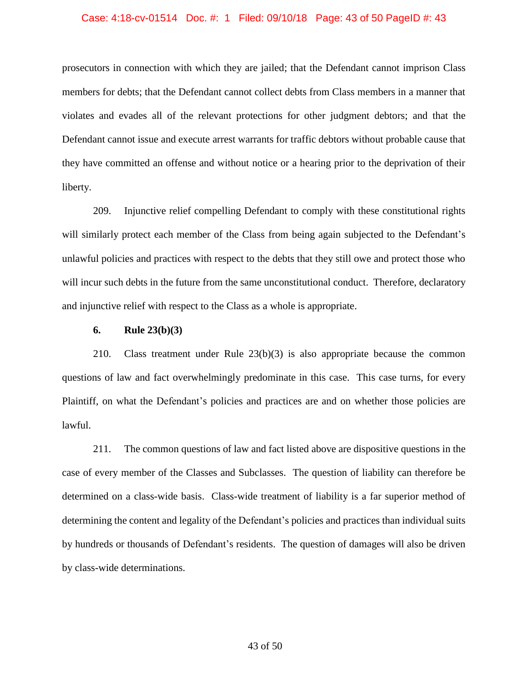#### Case: 4:18-cv-01514 Doc. #: 1 Filed: 09/10/18 Page: 43 of 50 PageID #: 43

prosecutors in connection with which they are jailed; that the Defendant cannot imprison Class members for debts; that the Defendant cannot collect debts from Class members in a manner that violates and evades all of the relevant protections for other judgment debtors; and that the Defendant cannot issue and execute arrest warrants for traffic debtors without probable cause that they have committed an offense and without notice or a hearing prior to the deprivation of their liberty.

209. Injunctive relief compelling Defendant to comply with these constitutional rights will similarly protect each member of the Class from being again subjected to the Defendant's unlawful policies and practices with respect to the debts that they still owe and protect those who will incur such debts in the future from the same unconstitutional conduct. Therefore, declaratory and injunctive relief with respect to the Class as a whole is appropriate.

### **6. Rule 23(b)(3)**

210. Class treatment under Rule 23(b)(3) is also appropriate because the common questions of law and fact overwhelmingly predominate in this case. This case turns, for every Plaintiff, on what the Defendant's policies and practices are and on whether those policies are lawful.

211. The common questions of law and fact listed above are dispositive questions in the case of every member of the Classes and Subclasses. The question of liability can therefore be determined on a class-wide basis. Class-wide treatment of liability is a far superior method of determining the content and legality of the Defendant's policies and practices than individual suits by hundreds or thousands of Defendant's residents. The question of damages will also be driven by class-wide determinations.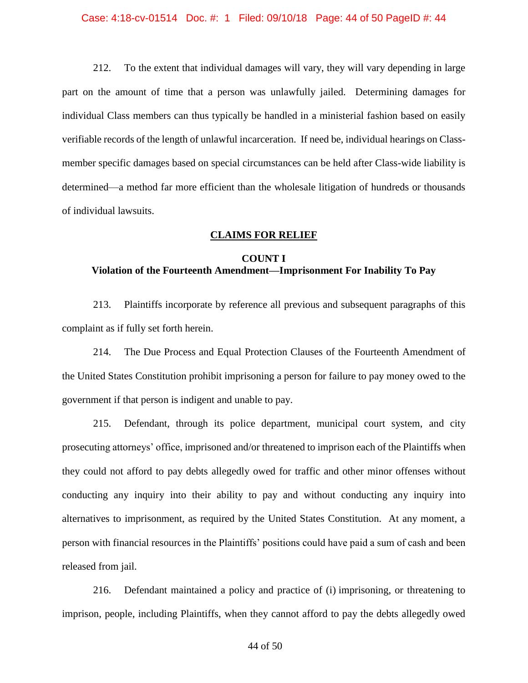#### Case: 4:18-cv-01514 Doc. #: 1 Filed: 09/10/18 Page: 44 of 50 PageID #: 44

212. To the extent that individual damages will vary, they will vary depending in large part on the amount of time that a person was unlawfully jailed. Determining damages for individual Class members can thus typically be handled in a ministerial fashion based on easily verifiable records of the length of unlawful incarceration. If need be, individual hearings on Classmember specific damages based on special circumstances can be held after Class-wide liability is determined—a method far more efficient than the wholesale litigation of hundreds or thousands of individual lawsuits.

# **CLAIMS FOR RELIEF**

# **COUNT I Violation of the Fourteenth Amendment—Imprisonment For Inability To Pay**

213. Plaintiffs incorporate by reference all previous and subsequent paragraphs of this complaint as if fully set forth herein.

214. The Due Process and Equal Protection Clauses of the Fourteenth Amendment of the United States Constitution prohibit imprisoning a person for failure to pay money owed to the government if that person is indigent and unable to pay.

215. Defendant, through its police department, municipal court system, and city prosecuting attorneys' office, imprisoned and/or threatened to imprison each of the Plaintiffs when they could not afford to pay debts allegedly owed for traffic and other minor offenses without conducting any inquiry into their ability to pay and without conducting any inquiry into alternatives to imprisonment, as required by the United States Constitution. At any moment, a person with financial resources in the Plaintiffs' positions could have paid a sum of cash and been released from jail.

216. Defendant maintained a policy and practice of (i) imprisoning, or threatening to imprison, people, including Plaintiffs, when they cannot afford to pay the debts allegedly owed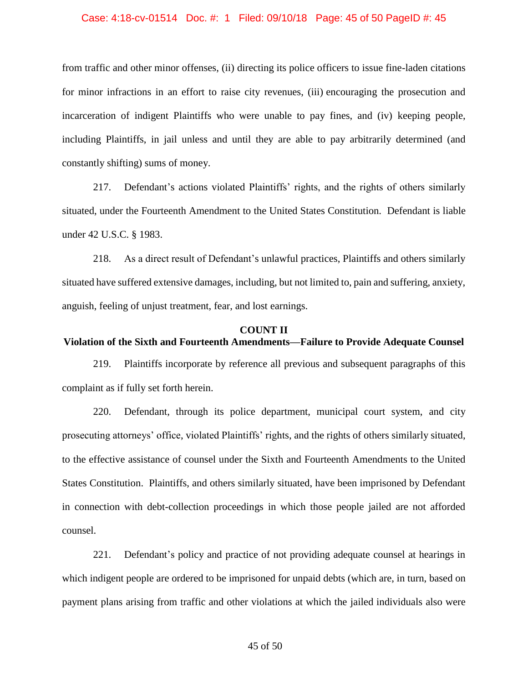#### Case: 4:18-cv-01514 Doc. #: 1 Filed: 09/10/18 Page: 45 of 50 PageID #: 45

from traffic and other minor offenses, (ii) directing its police officers to issue fine-laden citations for minor infractions in an effort to raise city revenues, (iii) encouraging the prosecution and incarceration of indigent Plaintiffs who were unable to pay fines, and (iv) keeping people, including Plaintiffs, in jail unless and until they are able to pay arbitrarily determined (and constantly shifting) sums of money.

217. Defendant's actions violated Plaintiffs' rights, and the rights of others similarly situated, under the Fourteenth Amendment to the United States Constitution. Defendant is liable under 42 U.S.C. § 1983.

218. As a direct result of Defendant's unlawful practices, Plaintiffs and others similarly situated have suffered extensive damages, including, but not limited to, pain and suffering, anxiety, anguish, feeling of unjust treatment, fear, and lost earnings.

# **COUNT II Violation of the Sixth and Fourteenth Amendments—Failure to Provide Adequate Counsel**

219. Plaintiffs incorporate by reference all previous and subsequent paragraphs of this complaint as if fully set forth herein.

220. Defendant, through its police department, municipal court system, and city prosecuting attorneys' office, violated Plaintiffs' rights, and the rights of others similarly situated, to the effective assistance of counsel under the Sixth and Fourteenth Amendments to the United States Constitution. Plaintiffs, and others similarly situated, have been imprisoned by Defendant in connection with debt-collection proceedings in which those people jailed are not afforded counsel.

221. Defendant's policy and practice of not providing adequate counsel at hearings in which indigent people are ordered to be imprisoned for unpaid debts (which are, in turn, based on payment plans arising from traffic and other violations at which the jailed individuals also were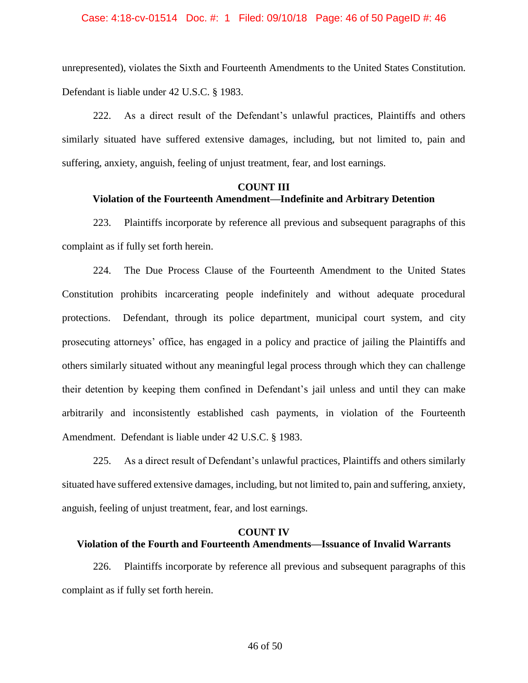#### Case: 4:18-cv-01514 Doc. #: 1 Filed: 09/10/18 Page: 46 of 50 PageID #: 46

unrepresented), violates the Sixth and Fourteenth Amendments to the United States Constitution. Defendant is liable under 42 U.S.C. § 1983.

222. As a direct result of the Defendant's unlawful practices, Plaintiffs and others similarly situated have suffered extensive damages, including, but not limited to, pain and suffering, anxiety, anguish, feeling of unjust treatment, fear, and lost earnings.

# **COUNT III Violation of the Fourteenth Amendment—Indefinite and Arbitrary Detention**

223. Plaintiffs incorporate by reference all previous and subsequent paragraphs of this complaint as if fully set forth herein.

224. The Due Process Clause of the Fourteenth Amendment to the United States Constitution prohibits incarcerating people indefinitely and without adequate procedural protections. Defendant, through its police department, municipal court system, and city prosecuting attorneys' office, has engaged in a policy and practice of jailing the Plaintiffs and others similarly situated without any meaningful legal process through which they can challenge their detention by keeping them confined in Defendant's jail unless and until they can make arbitrarily and inconsistently established cash payments, in violation of the Fourteenth Amendment. Defendant is liable under 42 U.S.C. § 1983.

225. As a direct result of Defendant's unlawful practices, Plaintiffs and others similarly situated have suffered extensive damages, including, but not limited to, pain and suffering, anxiety, anguish, feeling of unjust treatment, fear, and lost earnings.

# **COUNT IV Violation of the Fourth and Fourteenth Amendments—Issuance of Invalid Warrants**

226. Plaintiffs incorporate by reference all previous and subsequent paragraphs of this complaint as if fully set forth herein.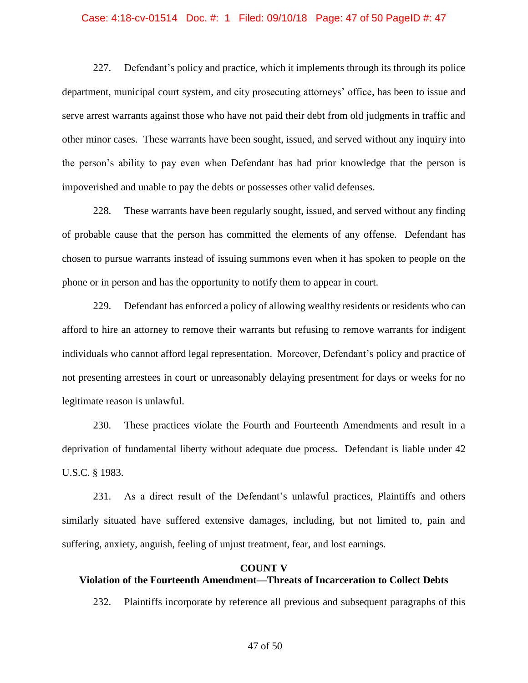#### Case: 4:18-cv-01514 Doc. #: 1 Filed: 09/10/18 Page: 47 of 50 PageID #: 47

227. Defendant's policy and practice, which it implements through its through its police department, municipal court system, and city prosecuting attorneys' office, has been to issue and serve arrest warrants against those who have not paid their debt from old judgments in traffic and other minor cases. These warrants have been sought, issued, and served without any inquiry into the person's ability to pay even when Defendant has had prior knowledge that the person is impoverished and unable to pay the debts or possesses other valid defenses.

228. These warrants have been regularly sought, issued, and served without any finding of probable cause that the person has committed the elements of any offense. Defendant has chosen to pursue warrants instead of issuing summons even when it has spoken to people on the phone or in person and has the opportunity to notify them to appear in court.

229. Defendant has enforced a policy of allowing wealthy residents or residents who can afford to hire an attorney to remove their warrants but refusing to remove warrants for indigent individuals who cannot afford legal representation. Moreover, Defendant's policy and practice of not presenting arrestees in court or unreasonably delaying presentment for days or weeks for no legitimate reason is unlawful.

230. These practices violate the Fourth and Fourteenth Amendments and result in a deprivation of fundamental liberty without adequate due process. Defendant is liable under 42 U.S.C. § 1983.

231. As a direct result of the Defendant's unlawful practices, Plaintiffs and others similarly situated have suffered extensive damages, including, but not limited to, pain and suffering, anxiety, anguish, feeling of unjust treatment, fear, and lost earnings.

#### **COUNT V**

# **Violation of the Fourteenth Amendment—Threats of Incarceration to Collect Debts**

232. Plaintiffs incorporate by reference all previous and subsequent paragraphs of this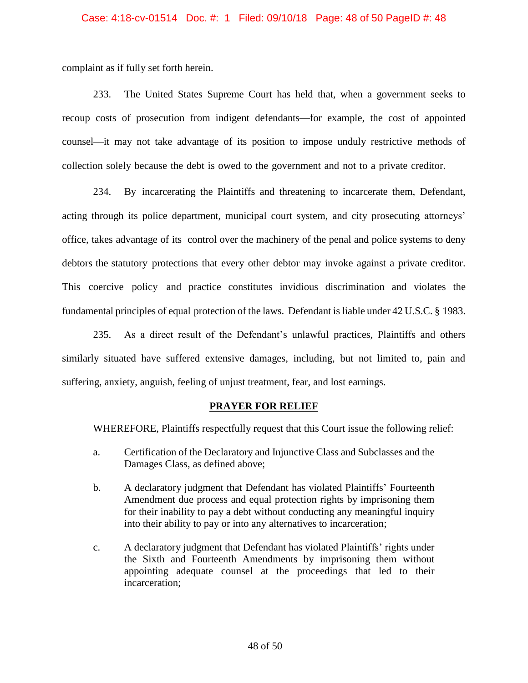### Case: 4:18-cv-01514 Doc. #: 1 Filed: 09/10/18 Page: 48 of 50 PageID #: 48

complaint as if fully set forth herein.

233. The United States Supreme Court has held that, when a government seeks to recoup costs of prosecution from indigent defendants—for example, the cost of appointed counsel—it may not take advantage of its position to impose unduly restrictive methods of collection solely because the debt is owed to the government and not to a private creditor.

234. By incarcerating the Plaintiffs and threatening to incarcerate them, Defendant, acting through its police department, municipal court system, and city prosecuting attorneys' office, takes advantage of its control over the machinery of the penal and police systems to deny debtors the statutory protections that every other debtor may invoke against a private creditor. This coercive policy and practice constitutes invidious discrimination and violates the fundamental principles of equal protection of the laws. Defendant is liable under 42 U.S.C. § 1983.

235. As a direct result of the Defendant's unlawful practices, Plaintiffs and others similarly situated have suffered extensive damages, including, but not limited to, pain and suffering, anxiety, anguish, feeling of unjust treatment, fear, and lost earnings.

## **PRAYER FOR RELIEF**

WHEREFORE, Plaintiffs respectfully request that this Court issue the following relief:

- a. Certification of the Declaratory and Injunctive Class and Subclasses and the Damages Class, as defined above;
- b. A declaratory judgment that Defendant has violated Plaintiffs' Fourteenth Amendment due process and equal protection rights by imprisoning them for their inability to pay a debt without conducting any meaningful inquiry into their ability to pay or into any alternatives to incarceration;
- c. A declaratory judgment that Defendant has violated Plaintiffs' rights under the Sixth and Fourteenth Amendments by imprisoning them without appointing adequate counsel at the proceedings that led to their incarceration;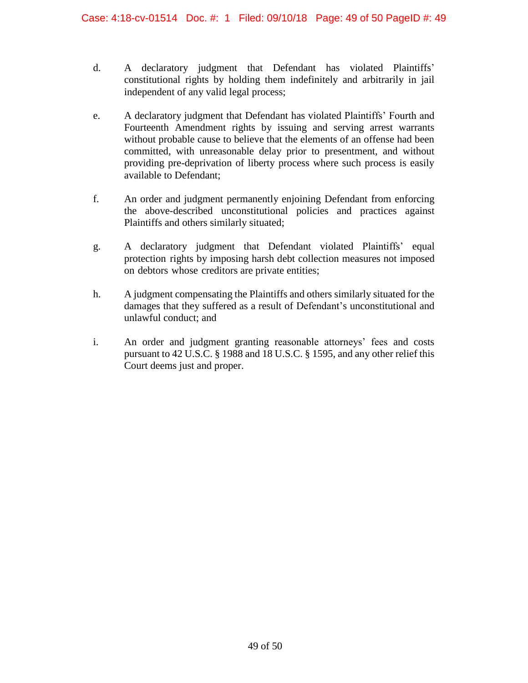- d. A declaratory judgment that Defendant has violated Plaintiffs' constitutional rights by holding them indefinitely and arbitrarily in jail independent of any valid legal process;
- e. A declaratory judgment that Defendant has violated Plaintiffs' Fourth and Fourteenth Amendment rights by issuing and serving arrest warrants without probable cause to believe that the elements of an offense had been committed, with unreasonable delay prior to presentment, and without providing pre-deprivation of liberty process where such process is easily available to Defendant;
- f. An order and judgment permanently enjoining Defendant from enforcing the above-described unconstitutional policies and practices against Plaintiffs and others similarly situated;
- g. A declaratory judgment that Defendant violated Plaintiffs' equal protection rights by imposing harsh debt collection measures not imposed on debtors whose creditors are private entities;
- h. A judgment compensating the Plaintiffs and others similarly situated for the damages that they suffered as a result of Defendant's unconstitutional and unlawful conduct; and
- i. An order and judgment granting reasonable attorneys' fees and costs pursuant to 42 U.S.C. § 1988 and 18 U.S.C. § 1595, and any other relief this Court deems just and proper.